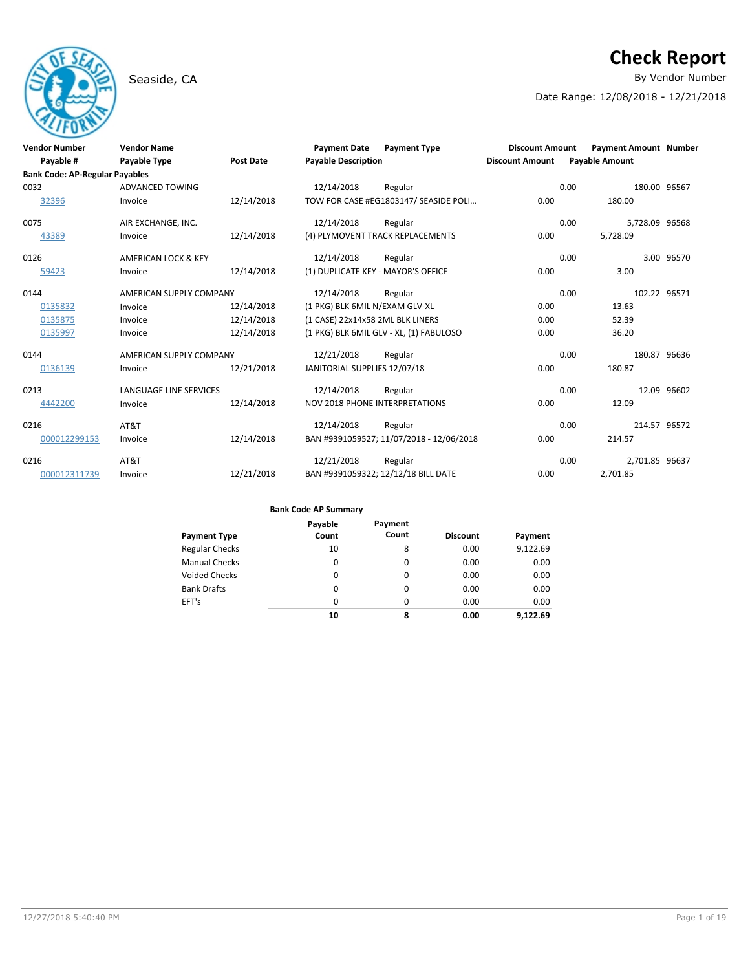# **Check Report**

Seaside, CA **By Vendor Number** 

Date Range: 12/08/2018 - 12/21/2018

| <b>Vendor Number</b>                  | <b>Vendor Name</b>      |                  | <b>Payment Date</b>                   | <b>Payment Type</b>                      | <b>Discount Amount</b> | <b>Payment Amount Number</b> |             |
|---------------------------------------|-------------------------|------------------|---------------------------------------|------------------------------------------|------------------------|------------------------------|-------------|
| Payable #                             | <b>Payable Type</b>     | <b>Post Date</b> | <b>Payable Description</b>            |                                          | <b>Discount Amount</b> | <b>Payable Amount</b>        |             |
| <b>Bank Code: AP-Regular Payables</b> |                         |                  |                                       |                                          |                        |                              |             |
| 0032                                  | <b>ADVANCED TOWING</b>  |                  | 12/14/2018                            | Regular                                  | 0.00                   | 180.00 96567                 |             |
| 32396                                 | Invoice                 | 12/14/2018       |                                       | TOW FOR CASE #EG1803147/ SEASIDE POLI    | 0.00                   | 180.00                       |             |
| 0075                                  | AIR EXCHANGE, INC.      |                  | 12/14/2018                            | Regular                                  | 0.00                   | 5,728.09 96568               |             |
| 43389                                 | Invoice                 | 12/14/2018       |                                       | (4) PLYMOVENT TRACK REPLACEMENTS         | 0.00                   | 5,728.09                     |             |
| 0126                                  | AMERICAN LOCK & KEY     |                  | 12/14/2018                            | Regular                                  | 0.00                   |                              | 3.00 96570  |
| 59423                                 | Invoice                 | 12/14/2018       |                                       | (1) DUPLICATE KEY - MAYOR'S OFFICE       | 0.00                   | 3.00                         |             |
| 0144                                  | AMERICAN SUPPLY COMPANY |                  | 12/14/2018                            | Regular                                  | 0.00                   | 102.22 96571                 |             |
| 0135832                               | Invoice                 | 12/14/2018       | (1 PKG) BLK 6MIL N/EXAM GLV-XL        |                                          | 0.00                   | 13.63                        |             |
| 0135875                               | Invoice                 | 12/14/2018       | (1 CASE) 22x14x58 2ML BLK LINERS      |                                          | 0.00                   | 52.39                        |             |
| 0135997                               | Invoice                 | 12/14/2018       |                                       | (1 PKG) BLK 6MIL GLV - XL, (1) FABULOSO  | 0.00                   | 36.20                        |             |
| 0144                                  | AMERICAN SUPPLY COMPANY |                  | 12/21/2018                            | Regular                                  | 0.00                   | 180.87 96636                 |             |
| 0136139                               | Invoice                 | 12/21/2018       | JANITORIAL SUPPLIES 12/07/18          |                                          | 0.00                   | 180.87                       |             |
| 0213                                  | LANGUAGE LINE SERVICES  |                  | 12/14/2018                            | Regular                                  | 0.00                   |                              | 12.09 96602 |
| 4442200                               | Invoice                 | 12/14/2018       | <b>NOV 2018 PHONE INTERPRETATIONS</b> |                                          | 0.00                   | 12.09                        |             |
| 0216                                  | AT&T                    |                  | 12/14/2018                            | Regular                                  | 0.00                   | 214.57 96572                 |             |
| 000012299153                          | Invoice                 | 12/14/2018       |                                       | BAN #9391059527; 11/07/2018 - 12/06/2018 | 0.00                   | 214.57                       |             |
| 0216                                  | AT&T                    |                  | 12/21/2018                            | Regular                                  | 0.00                   | 2,701.85 96637               |             |
| 000012311739                          | Invoice                 | 12/21/2018       |                                       | BAN #9391059322; 12/12/18 BILL DATE      | 0.00                   | 2,701.85                     |             |

| Payment Type          | Payable<br>Count | Payment<br>Count | <b>Discount</b> | Payment  |
|-----------------------|------------------|------------------|-----------------|----------|
| <b>Regular Checks</b> | 10               | 8                | 0.00            | 9,122.69 |
| <b>Manual Checks</b>  | 0                | $\Omega$         | 0.00            | 0.00     |
| Voided Checks         | 0                | $\Omega$         | 0.00            | 0.00     |
| <b>Bank Drafts</b>    | 0                | $\Omega$         | 0.00            | 0.00     |
| EFT's                 | $\Omega$         | $\Omega$         | 0.00            | 0.00     |
|                       | 10               | 8                | 0.00            | 9.122.69 |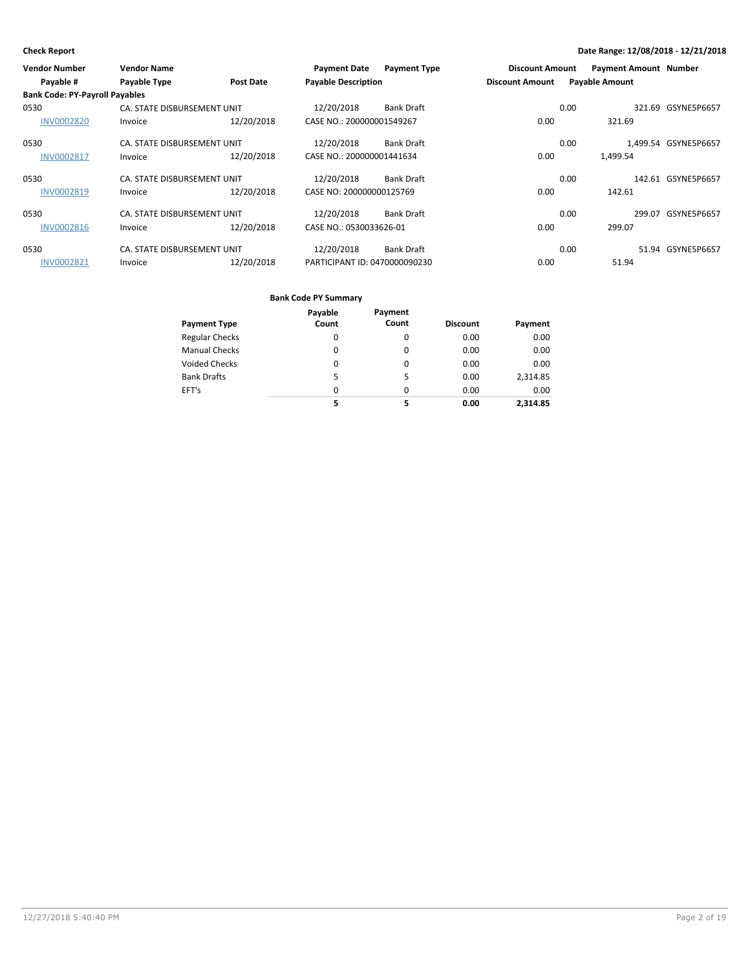| <b>Vendor Number</b>                  | <b>Vendor Name</b>          |                  | <b>Payment Date</b>           | <b>Payment Type</b> | <b>Discount Amount</b> | <b>Payment Amount Number</b> |                      |
|---------------------------------------|-----------------------------|------------------|-------------------------------|---------------------|------------------------|------------------------------|----------------------|
| Payable #                             | Payable Type                | <b>Post Date</b> | <b>Payable Description</b>    |                     | <b>Discount Amount</b> | <b>Payable Amount</b>        |                      |
| <b>Bank Code: PY-Payroll Payables</b> |                             |                  |                               |                     |                        |                              |                      |
| 0530                                  | CA. STATE DISBURSEMENT UNIT |                  | 12/20/2018                    | <b>Bank Draft</b>   |                        | 0.00                         | 321.69 GSYNE5P6657   |
| <b>INV0002820</b>                     | Invoice                     | 12/20/2018       | CASE NO.: 200000001549267     |                     | 0.00                   | 321.69                       |                      |
| 0530                                  | CA. STATE DISBURSEMENT UNIT |                  | 12/20/2018                    | <b>Bank Draft</b>   |                        | 0.00                         | 1,499.54 GSYNE5P6657 |
| <b>INV0002817</b>                     | Invoice                     | 12/20/2018       | CASE NO.: 200000001441634     |                     | 0.00                   | 1,499.54                     |                      |
| 0530                                  | CA. STATE DISBURSEMENT UNIT |                  | 12/20/2018                    | <b>Bank Draft</b>   |                        | 0.00                         | 142.61 GSYNE5P6657   |
| <b>INV0002819</b>                     | Invoice                     | 12/20/2018       | CASE NO: 200000000125769      |                     | 0.00                   | 142.61                       |                      |
| 0530                                  | CA. STATE DISBURSEMENT UNIT |                  | 12/20/2018                    | <b>Bank Draft</b>   |                        | 0.00                         | 299.07 GSYNE5P6657   |
| <b>INV0002816</b>                     | Invoice                     | 12/20/2018       | CASE NO.: 0530033626-01       |                     | 0.00                   | 299.07                       |                      |
| 0530                                  | CA. STATE DISBURSEMENT UNIT |                  | 12/20/2018                    | <b>Bank Draft</b>   |                        | 0.00                         | 51.94 GSYNE5P6657    |
| <b>INV0002821</b>                     | Invoice                     | 12/20/2018       | PARTICIPANT ID: 0470000090230 |                     | 0.00                   | 51.94                        |                      |

|                       | Payable  | Payment  |                 |          |
|-----------------------|----------|----------|-----------------|----------|
| Payment Type          | Count    | Count    | <b>Discount</b> | Payment  |
| <b>Regular Checks</b> | 0        | 0        | 0.00            | 0.00     |
| <b>Manual Checks</b>  | 0        | 0        | 0.00            | 0.00     |
| Voided Checks         | 0        | $\Omega$ | 0.00            | 0.00     |
| <b>Bank Drafts</b>    | 5        | 5        | 0.00            | 2,314.85 |
| EFT's                 | $\Omega$ | $\Omega$ | 0.00            | 0.00     |
|                       | 5        | 5        | 0.00            | 2.314.85 |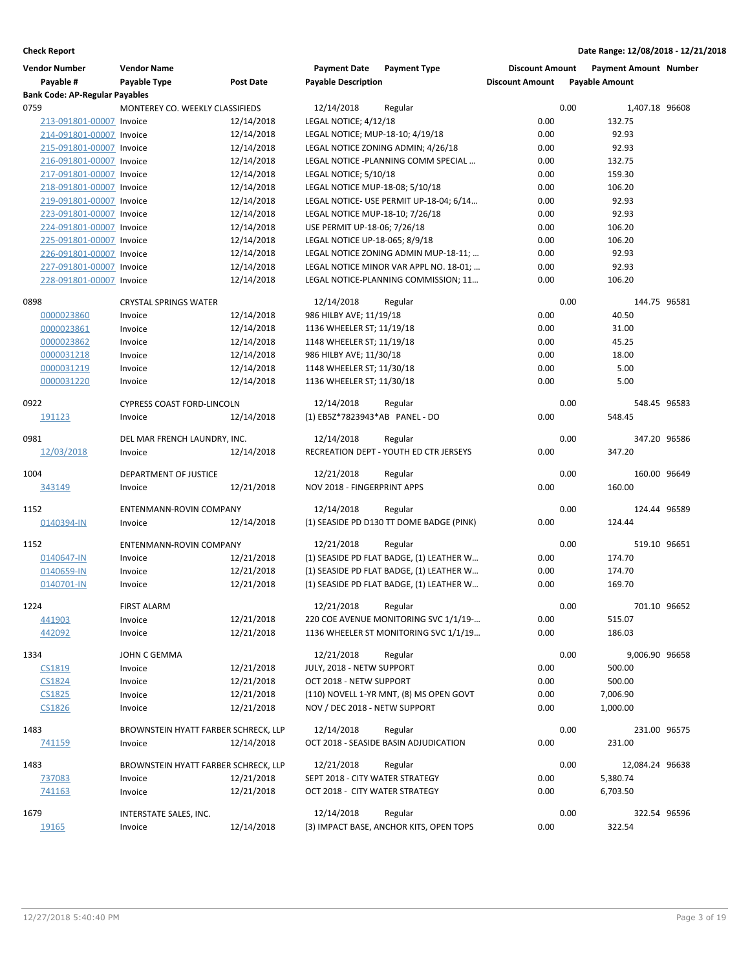| <b>Vendor Number</b>                  | <b>Vendor Name</b>                   |                  | <b>Payment Date</b>              | <b>Payment Type</b>                      | <b>Discount Amount</b> |      | <b>Payment Amount Number</b> |  |
|---------------------------------------|--------------------------------------|------------------|----------------------------------|------------------------------------------|------------------------|------|------------------------------|--|
| Payable #                             | Payable Type                         | <b>Post Date</b> | <b>Payable Description</b>       |                                          | <b>Discount Amount</b> |      | <b>Payable Amount</b>        |  |
| <b>Bank Code: AP-Regular Payables</b> |                                      |                  |                                  |                                          |                        |      |                              |  |
| 0759                                  | MONTEREY CO. WEEKLY CLASSIFIEDS      |                  | 12/14/2018                       | Regular                                  |                        | 0.00 | 1,407.18 96608               |  |
| 213-091801-00007 Invoice              |                                      | 12/14/2018       | LEGAL NOTICE; 4/12/18            |                                          | 0.00                   |      | 132.75                       |  |
| 214-091801-00007 Invoice              |                                      | 12/14/2018       | LEGAL NOTICE; MUP-18-10; 4/19/18 |                                          | 0.00                   |      | 92.93                        |  |
| 215-091801-00007 Invoice              |                                      | 12/14/2018       |                                  | LEGAL NOTICE ZONING ADMIN; 4/26/18       | 0.00                   |      | 92.93                        |  |
| 216-091801-00007 Invoice              |                                      | 12/14/2018       |                                  | LEGAL NOTICE -PLANNING COMM SPECIAL      | 0.00                   |      | 132.75                       |  |
| 217-091801-00007 Invoice              |                                      | 12/14/2018       | LEGAL NOTICE; 5/10/18            |                                          | 0.00                   |      | 159.30                       |  |
| 218-091801-00007 Invoice              |                                      | 12/14/2018       | LEGAL NOTICE MUP-18-08; 5/10/18  |                                          | 0.00                   |      | 106.20                       |  |
| 219-091801-00007 Invoice              |                                      | 12/14/2018       |                                  | LEGAL NOTICE- USE PERMIT UP-18-04; 6/14  | 0.00                   |      | 92.93                        |  |
| 223-091801-00007 Invoice              |                                      | 12/14/2018       | LEGAL NOTICE MUP-18-10; 7/26/18  |                                          | 0.00                   |      | 92.93                        |  |
| 224-091801-00007 Invoice              |                                      | 12/14/2018       | USE PERMIT UP-18-06; 7/26/18     |                                          | 0.00                   |      | 106.20                       |  |
| 225-091801-00007 Invoice              |                                      | 12/14/2018       | LEGAL NOTICE UP-18-065; 8/9/18   |                                          | 0.00                   |      | 106.20                       |  |
| 226-091801-00007 Invoice              |                                      | 12/14/2018       |                                  | LEGAL NOTICE ZONING ADMIN MUP-18-11;     | 0.00                   |      | 92.93                        |  |
| 227-091801-00007 Invoice              |                                      | 12/14/2018       |                                  | LEGAL NOTICE MINOR VAR APPL NO. 18-01;   | 0.00                   |      | 92.93                        |  |
| 228-091801-00007 Invoice              |                                      | 12/14/2018       |                                  | LEGAL NOTICE-PLANNING COMMISSION; 11     | 0.00                   |      | 106.20                       |  |
| 0898                                  | <b>CRYSTAL SPRINGS WATER</b>         |                  | 12/14/2018                       | Regular                                  |                        | 0.00 | 144.75 96581                 |  |
| 0000023860                            | Invoice                              | 12/14/2018       | 986 HILBY AVE; 11/19/18          |                                          | 0.00                   |      | 40.50                        |  |
| 0000023861                            | Invoice                              | 12/14/2018       | 1136 WHEELER ST; 11/19/18        |                                          | 0.00                   |      | 31.00                        |  |
| 0000023862                            | Invoice                              | 12/14/2018       | 1148 WHEELER ST; 11/19/18        |                                          | 0.00                   |      | 45.25                        |  |
| 0000031218                            | Invoice                              | 12/14/2018       | 986 HILBY AVE; 11/30/18          |                                          | 0.00                   |      | 18.00                        |  |
| 0000031219                            | Invoice                              | 12/14/2018       | 1148 WHEELER ST; 11/30/18        |                                          | 0.00                   |      | 5.00                         |  |
| 0000031220                            | Invoice                              | 12/14/2018       | 1136 WHEELER ST; 11/30/18        |                                          | 0.00                   |      | 5.00                         |  |
| 0922                                  | <b>CYPRESS COAST FORD-LINCOLN</b>    |                  | 12/14/2018                       | Regular                                  |                        | 0.00 | 548.45 96583                 |  |
| 191123                                | Invoice                              | 12/14/2018       | (1) EB5Z*7823943*AB PANEL - DO   |                                          | 0.00                   |      | 548.45                       |  |
|                                       |                                      |                  |                                  |                                          |                        |      |                              |  |
| 0981                                  | DEL MAR FRENCH LAUNDRY, INC.         |                  | 12/14/2018                       | Regular                                  |                        | 0.00 | 347.20 96586                 |  |
| 12/03/2018                            | Invoice                              | 12/14/2018       |                                  | RECREATION DEPT - YOUTH ED CTR JERSEYS   | 0.00                   |      | 347.20                       |  |
| 1004                                  | DEPARTMENT OF JUSTICE                |                  | 12/21/2018                       | Regular                                  |                        | 0.00 | 160.00 96649                 |  |
| 343149                                | Invoice                              | 12/21/2018       | NOV 2018 - FINGERPRINT APPS      |                                          | 0.00                   |      | 160.00                       |  |
|                                       |                                      |                  |                                  |                                          |                        |      |                              |  |
| 1152                                  | ENTENMANN-ROVIN COMPANY              |                  | 12/14/2018                       | Regular                                  |                        | 0.00 | 124.44 96589                 |  |
| 0140394-IN                            | Invoice                              | 12/14/2018       |                                  | (1) SEASIDE PD D130 TT DOME BADGE (PINK) | 0.00                   |      | 124.44                       |  |
| 1152                                  | ENTENMANN-ROVIN COMPANY              |                  | 12/21/2018                       | Regular                                  |                        | 0.00 | 519.10 96651                 |  |
| 0140647-IN                            | Invoice                              | 12/21/2018       |                                  | (1) SEASIDE PD FLAT BADGE, (1) LEATHER W | 0.00                   |      | 174.70                       |  |
| 0140659-IN                            | Invoice                              | 12/21/2018       |                                  | (1) SEASIDE PD FLAT BADGE, (1) LEATHER W | 0.00                   |      | 174.70                       |  |
| 0140701-IN                            | Invoice                              | 12/21/2018       |                                  | (1) SEASIDE PD FLAT BADGE, (1) LEATHER W | 0.00                   |      | 169.70                       |  |
| 1224                                  | <b>FIRST ALARM</b>                   |                  | 12/21/2018                       | Regular                                  |                        | 0.00 | 701.10 96652                 |  |
| 441903                                | Invoice                              | 12/21/2018       |                                  | 220 COE AVENUE MONITORING SVC 1/1/19-    | 0.00                   |      | 515.07                       |  |
| 442092                                | Invoice                              | 12/21/2018       |                                  | 1136 WHEELER ST MONITORING SVC 1/1/19    | 0.00                   |      | 186.03                       |  |
| 1334                                  | JOHN C GEMMA                         |                  | 12/21/2018                       | Regular                                  |                        | 0.00 | 9,006.90 96658               |  |
| CS1819                                | Invoice                              | 12/21/2018       | JULY, 2018 - NETW SUPPORT        |                                          | 0.00                   |      | 500.00                       |  |
| CS1824                                | Invoice                              | 12/21/2018       | OCT 2018 - NETW SUPPORT          |                                          | 0.00                   |      | 500.00                       |  |
| CS1825                                | Invoice                              | 12/21/2018       |                                  | (110) NOVELL 1-YR MNT, (8) MS OPEN GOVT  | 0.00                   |      | 7,006.90                     |  |
| <b>CS1826</b>                         | Invoice                              | 12/21/2018       | NOV / DEC 2018 - NETW SUPPORT    |                                          | 0.00                   |      | 1,000.00                     |  |
|                                       |                                      |                  |                                  |                                          |                        |      |                              |  |
| 1483                                  | BROWNSTEIN HYATT FARBER SCHRECK, LLP |                  | 12/14/2018                       | Regular                                  |                        | 0.00 | 231.00 96575                 |  |
| 741159                                | Invoice                              | 12/14/2018       |                                  | OCT 2018 - SEASIDE BASIN ADJUDICATION    | 0.00                   |      | 231.00                       |  |
| 1483                                  | BROWNSTEIN HYATT FARBER SCHRECK, LLP |                  | 12/21/2018                       | Regular                                  |                        | 0.00 | 12,084.24 96638              |  |
| 737083                                | Invoice                              | 12/21/2018       | SEPT 2018 - CITY WATER STRATEGY  |                                          | 0.00                   |      | 5,380.74                     |  |
| 741163                                | Invoice                              | 12/21/2018       | OCT 2018 - CITY WATER STRATEGY   |                                          | 0.00                   |      | 6,703.50                     |  |
| 1679                                  | INTERSTATE SALES, INC.               |                  | 12/14/2018                       | Regular                                  |                        | 0.00 | 322.54 96596                 |  |
| 19165                                 | Invoice                              | 12/14/2018       |                                  | (3) IMPACT BASE, ANCHOR KITS, OPEN TOPS  | 0.00                   |      | 322.54                       |  |
|                                       |                                      |                  |                                  |                                          |                        |      |                              |  |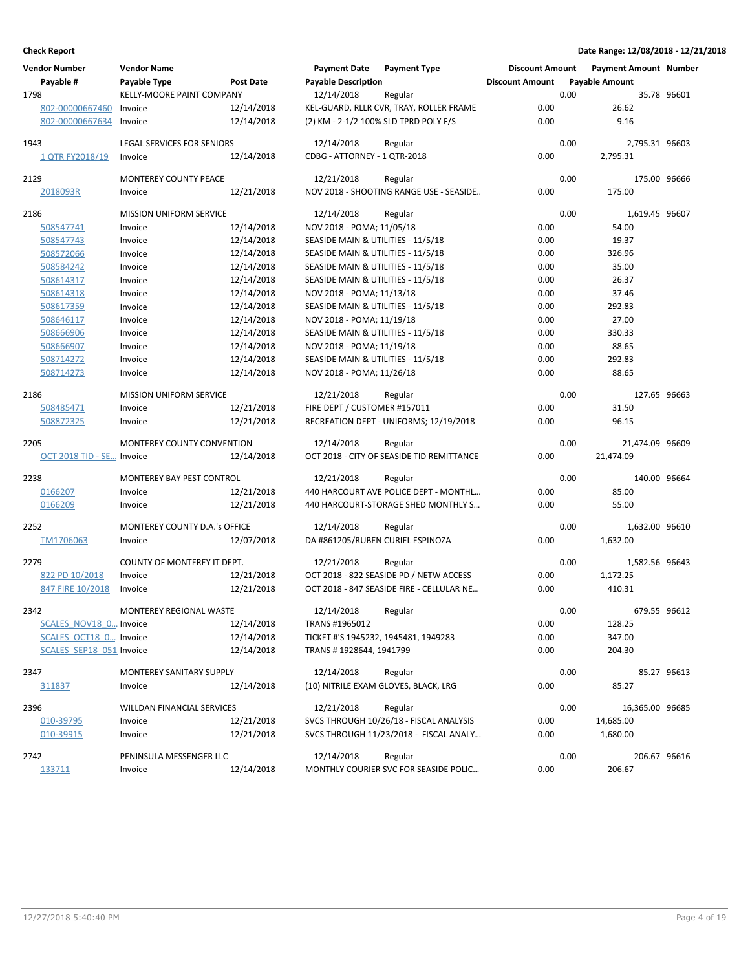| <b>Vendor Number</b><br>Payable # | <b>Vendor Name</b><br>Payable Type | Post Date  | <b>Payment Date</b><br><b>Payable Description</b> | <b>Payment Type</b>                       | <b>Discount Amount</b><br><b>Discount Amount</b> |      | <b>Payment Amount Number</b><br><b>Payable Amount</b> |             |
|-----------------------------------|------------------------------------|------------|---------------------------------------------------|-------------------------------------------|--------------------------------------------------|------|-------------------------------------------------------|-------------|
| 1798                              | <b>KELLY-MOORE PAINT COMPANY</b>   |            | 12/14/2018                                        | Regular                                   |                                                  | 0.00 |                                                       | 35.78 96601 |
| 802-00000667460                   | Invoice                            | 12/14/2018 |                                                   | KEL-GUARD, RLLR CVR, TRAY, ROLLER FRAME   | 0.00                                             |      | 26.62                                                 |             |
| 802-00000667634                   | Invoice                            | 12/14/2018 |                                                   | (2) KM - 2-1/2 100% SLD TPRD POLY F/S     | 0.00                                             |      | 9.16                                                  |             |
| 1943                              | <b>LEGAL SERVICES FOR SENIORS</b>  |            | 12/14/2018                                        | Regular                                   |                                                  | 0.00 | 2,795.31 96603                                        |             |
| 1 QTR FY2018/19                   | Invoice                            | 12/14/2018 | CDBG - ATTORNEY - 1 QTR-2018                      |                                           | 0.00                                             |      | 2,795.31                                              |             |
| 2129                              | MONTEREY COUNTY PEACE              |            | 12/21/2018                                        | Regular                                   |                                                  | 0.00 | 175.00 96666                                          |             |
| 2018093R                          | Invoice                            | 12/21/2018 |                                                   | NOV 2018 - SHOOTING RANGE USE - SEASIDE   | 0.00                                             |      | 175.00                                                |             |
|                                   |                                    |            |                                                   |                                           |                                                  |      |                                                       |             |
| 2186                              | <b>MISSION UNIFORM SERVICE</b>     |            | 12/14/2018                                        | Regular                                   |                                                  | 0.00 | 1,619.45 96607                                        |             |
| 508547741                         | Invoice                            | 12/14/2018 | NOV 2018 - POMA; 11/05/18                         |                                           | 0.00                                             |      | 54.00                                                 |             |
| 508547743                         | Invoice                            | 12/14/2018 | SEASIDE MAIN & UTILITIES - 11/5/18                |                                           | 0.00                                             |      | 19.37                                                 |             |
| 508572066                         | Invoice                            | 12/14/2018 | SEASIDE MAIN & UTILITIES - 11/5/18                |                                           | 0.00                                             |      | 326.96                                                |             |
| 508584242                         | Invoice                            | 12/14/2018 | SEASIDE MAIN & UTILITIES - 11/5/18                |                                           | 0.00                                             |      | 35.00                                                 |             |
| 508614317                         | Invoice                            | 12/14/2018 | SEASIDE MAIN & UTILITIES - 11/5/18                |                                           | 0.00                                             |      | 26.37                                                 |             |
| 508614318                         | Invoice                            | 12/14/2018 | NOV 2018 - POMA; 11/13/18                         |                                           | 0.00                                             |      | 37.46                                                 |             |
| 508617359                         | Invoice                            | 12/14/2018 | SEASIDE MAIN & UTILITIES - 11/5/18                |                                           | 0.00                                             |      | 292.83                                                |             |
| 508646117                         | Invoice                            | 12/14/2018 | NOV 2018 - POMA; 11/19/18                         |                                           | 0.00                                             |      | 27.00                                                 |             |
| 508666906                         | Invoice                            | 12/14/2018 | SEASIDE MAIN & UTILITIES - 11/5/18                |                                           | 0.00                                             |      | 330.33                                                |             |
| 508666907                         | Invoice                            | 12/14/2018 | NOV 2018 - POMA; 11/19/18                         |                                           | 0.00                                             |      | 88.65                                                 |             |
| 508714272                         | Invoice                            | 12/14/2018 | SEASIDE MAIN & UTILITIES - 11/5/18                |                                           | 0.00                                             |      | 292.83                                                |             |
| 508714273                         | Invoice                            | 12/14/2018 | NOV 2018 - POMA; 11/26/18                         |                                           | 0.00                                             |      | 88.65                                                 |             |
| 2186                              | <b>MISSION UNIFORM SERVICE</b>     |            | 12/21/2018                                        | Regular                                   |                                                  | 0.00 | 127.65 96663                                          |             |
| 508485471                         | Invoice                            | 12/21/2018 | FIRE DEPT / CUSTOMER #157011                      |                                           | 0.00                                             |      | 31.50                                                 |             |
| 508872325                         | Invoice                            | 12/21/2018 |                                                   | RECREATION DEPT - UNIFORMS; 12/19/2018    | 0.00                                             |      | 96.15                                                 |             |
| 2205                              | MONTEREY COUNTY CONVENTION         |            | 12/14/2018                                        | Regular                                   |                                                  | 0.00 | 21,474.09 96609                                       |             |
| OCT 2018 TID - SE Invoice         |                                    | 12/14/2018 |                                                   | OCT 2018 - CITY OF SEASIDE TID REMITTANCE | 0.00                                             |      | 21,474.09                                             |             |
| 2238                              | MONTEREY BAY PEST CONTROL          |            | 12/21/2018                                        | Regular                                   |                                                  | 0.00 | 140.00 96664                                          |             |
| 0166207                           | Invoice                            | 12/21/2018 |                                                   | 440 HARCOURT AVE POLICE DEPT - MONTHL     | 0.00                                             |      | 85.00                                                 |             |
| 0166209                           | Invoice                            | 12/21/2018 |                                                   | 440 HARCOURT-STORAGE SHED MONTHLY S       | 0.00                                             |      | 55.00                                                 |             |
|                                   |                                    |            |                                                   |                                           |                                                  |      |                                                       |             |
| 2252                              | MONTEREY COUNTY D.A.'s OFFICE      |            | 12/14/2018                                        | Regular                                   |                                                  | 0.00 | 1,632.00 96610                                        |             |
| TM1706063                         | Invoice                            | 12/07/2018 | DA #861205/RUBEN CURIEL ESPINOZA                  |                                           | 0.00                                             |      | 1,632.00                                              |             |
| 2279                              | COUNTY OF MONTEREY IT DEPT.        |            | 12/21/2018                                        | Regular                                   |                                                  | 0.00 | 1,582.56 96643                                        |             |
| 822 PD 10/2018                    | Invoice                            | 12/21/2018 |                                                   | OCT 2018 - 822 SEASIDE PD / NETW ACCESS   | 0.00                                             |      | 1,172.25                                              |             |
| 847 FIRE 10/2018                  | Invoice                            | 12/21/2018 |                                                   | OCT 2018 - 847 SEASIDE FIRE - CELLULAR NE | 0.00                                             |      | 410.31                                                |             |
| 2342                              | MONTEREY REGIONAL WASTE            |            | 12/14/2018                                        | Regular                                   |                                                  | 0.00 | 679.55 96612                                          |             |
| SCALES NOV18 0 Invoice            |                                    | 12/14/2018 | TRANS #1965012                                    |                                           | 0.00                                             |      | 128.25                                                |             |
| SCALES OCT18 0 Invoice            |                                    | 12/14/2018 | TICKET #'S 1945232, 1945481, 1949283              |                                           | 0.00                                             |      | 347.00                                                |             |
| SCALES SEP18 051 Invoice          |                                    | 12/14/2018 | TRANS #1928644, 1941799                           |                                           | 0.00                                             |      | 204.30                                                |             |
|                                   |                                    |            |                                                   |                                           |                                                  |      |                                                       |             |
| 2347                              | MONTEREY SANITARY SUPPLY           |            | 12/14/2018                                        | Regular                                   |                                                  | 0.00 |                                                       | 85.27 96613 |
| 311837                            | Invoice                            | 12/14/2018 |                                                   | (10) NITRILE EXAM GLOVES, BLACK, LRG      | 0.00                                             |      | 85.27                                                 |             |
| 2396                              | WILLDAN FINANCIAL SERVICES         |            | 12/21/2018                                        | Regular                                   |                                                  | 0.00 | 16,365.00 96685                                       |             |
| 010-39795                         | Invoice                            | 12/21/2018 |                                                   | SVCS THROUGH 10/26/18 - FISCAL ANALYSIS   | 0.00                                             |      | 14,685.00                                             |             |
| 010-39915                         | Invoice                            | 12/21/2018 |                                                   | SVCS THROUGH 11/23/2018 - FISCAL ANALY    | 0.00                                             |      | 1,680.00                                              |             |
| 2742                              | PENINSULA MESSENGER LLC            |            | 12/14/2018                                        | Regular                                   |                                                  | 0.00 | 206.67 96616                                          |             |
| 133711                            | Invoice                            | 12/14/2018 |                                                   | MONTHLY COURIER SVC FOR SEASIDE POLIC     | 0.00                                             |      | 206.67                                                |             |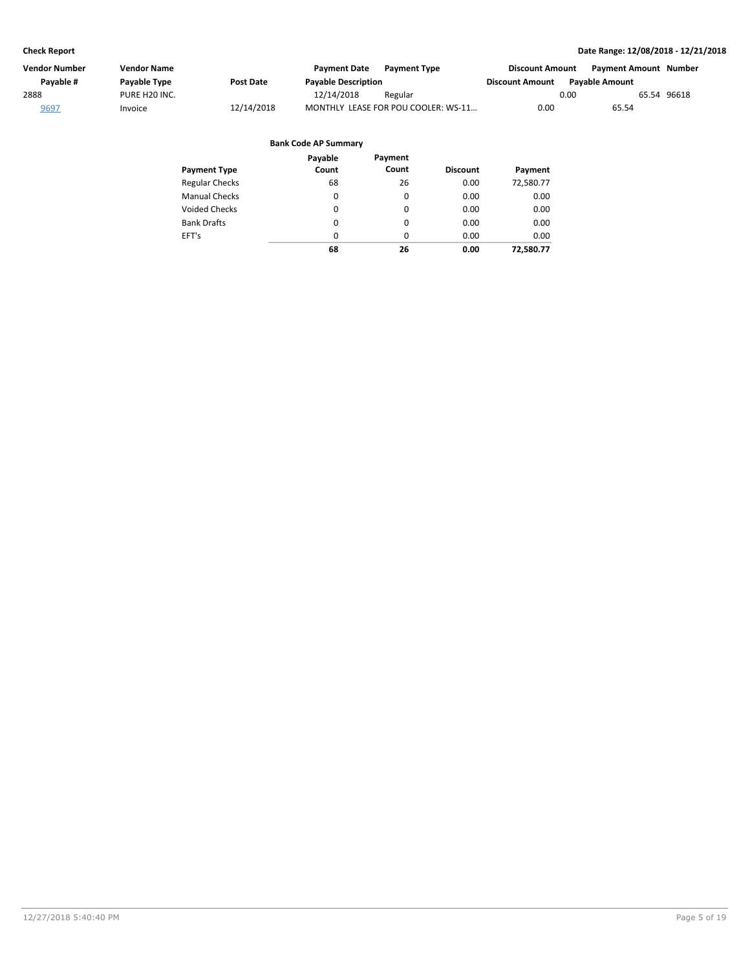| Vendor Number | <b>Vendor Name</b>        |                  | <b>Payment Date</b>        | <b>Payment Type</b>                 | <b>Discount Amount</b> | <b>Payment Amount Number</b> |             |
|---------------|---------------------------|------------------|----------------------------|-------------------------------------|------------------------|------------------------------|-------------|
| Payable #     | Payable Type              | <b>Post Date</b> | <b>Payable Description</b> |                                     | <b>Discount Amount</b> | <b>Pavable Amount</b>        |             |
| 2888          | PURE H <sub>20</sub> INC. |                  | 12/14/2018                 | Regular                             |                        | 0.00                         | 65.54 96618 |
| 9697          | Invoice                   | 12/14/2018       |                            | MONTHLY LEASE FOR POU COOLER: WS-11 | 0.00                   | 65.54                        |             |
|               |                           |                  |                            |                                     |                        |                              |             |

|                       | Payable | Payment  |                 |           |
|-----------------------|---------|----------|-----------------|-----------|
| <b>Payment Type</b>   | Count   | Count    | <b>Discount</b> | Payment   |
| <b>Regular Checks</b> | 68      | 26       | 0.00            | 72,580.77 |
| <b>Manual Checks</b>  | 0       | 0        | 0.00            | 0.00      |
| Voided Checks         | 0       | 0        | 0.00            | 0.00      |
| <b>Bank Drafts</b>    | 0       | $\Omega$ | 0.00            | 0.00      |
| EFT's                 | 0       | $\Omega$ | 0.00            | 0.00      |
|                       | 68      | 26       | 0.00            | 72,580.77 |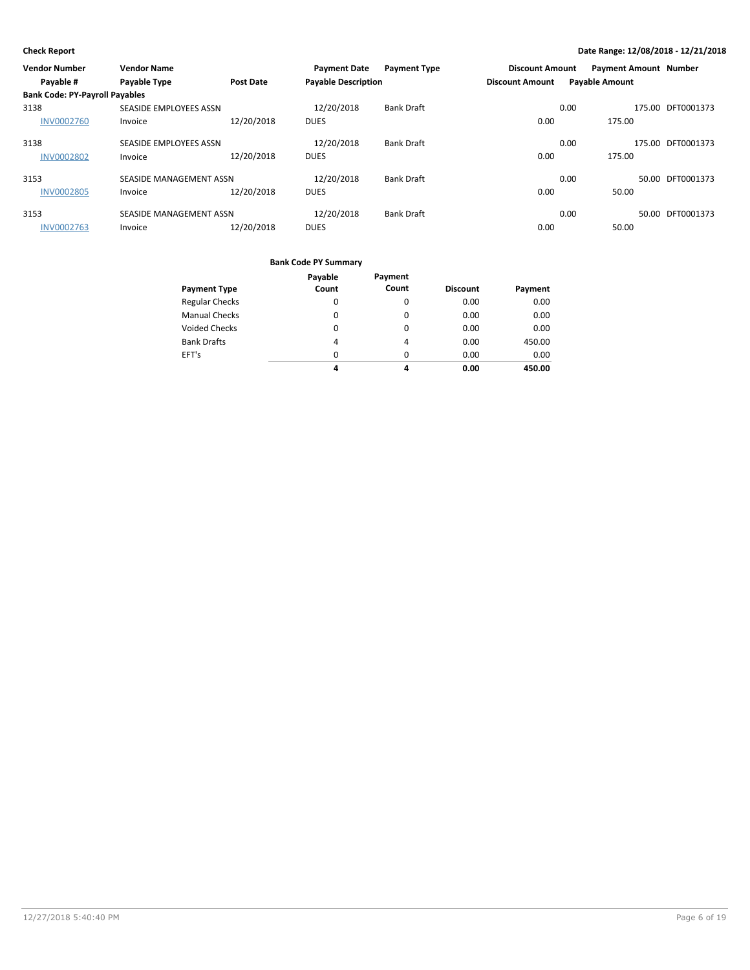| <b>Vendor Number</b>                  | <b>Vendor Name</b>      |                  | <b>Payment Date</b>        | <b>Payment Type</b> | <b>Discount Amount</b> |                       | <b>Payment Amount Number</b> |                   |
|---------------------------------------|-------------------------|------------------|----------------------------|---------------------|------------------------|-----------------------|------------------------------|-------------------|
| Payable #                             | <b>Payable Type</b>     | <b>Post Date</b> | <b>Payable Description</b> |                     | <b>Discount Amount</b> | <b>Payable Amount</b> |                              |                   |
| <b>Bank Code: PY-Payroll Payables</b> |                         |                  |                            |                     |                        |                       |                              |                   |
| 3138                                  | SEASIDE EMPLOYEES ASSN  |                  | 12/20/2018                 | <b>Bank Draft</b>   |                        | 0.00                  |                              | 175.00 DFT0001373 |
| <b>INV0002760</b>                     | Invoice                 | 12/20/2018       | <b>DUES</b>                |                     | 0.00                   |                       | 175.00                       |                   |
| 3138                                  | SEASIDE EMPLOYEES ASSN  |                  | 12/20/2018                 | <b>Bank Draft</b>   |                        | 0.00                  |                              | 175.00 DFT0001373 |
| <b>INV0002802</b>                     | Invoice                 | 12/20/2018       | <b>DUES</b>                |                     | 0.00                   |                       | 175.00                       |                   |
| 3153                                  | SEASIDE MANAGEMENT ASSN |                  | 12/20/2018                 | <b>Bank Draft</b>   |                        | 0.00                  |                              | 50.00 DFT0001373  |
| <b>INV0002805</b>                     | Invoice                 | 12/20/2018       | <b>DUES</b>                |                     | 0.00                   |                       | 50.00                        |                   |
| 3153                                  | SEASIDE MANAGEMENT ASSN |                  | 12/20/2018                 | <b>Bank Draft</b>   |                        | 0.00                  |                              | 50.00 DFT0001373  |
| <b>INV0002763</b>                     | Invoice                 | 12/20/2018       | <b>DUES</b>                |                     | 0.00                   |                       | 50.00                        |                   |

|                       | Payable  | Payment  |                 |         |
|-----------------------|----------|----------|-----------------|---------|
| <b>Payment Type</b>   | Count    | Count    | <b>Discount</b> | Payment |
| <b>Regular Checks</b> | 0        | 0        | 0.00            | 0.00    |
| <b>Manual Checks</b>  | 0        | 0        | 0.00            | 0.00    |
| <b>Voided Checks</b>  | 0        | $\Omega$ | 0.00            | 0.00    |
| <b>Bank Drafts</b>    | 4        | 4        | 0.00            | 450.00  |
| EFT's                 | $\Omega$ | $\Omega$ | 0.00            | 0.00    |
|                       | 4        | 4        | 0.00            | 450.00  |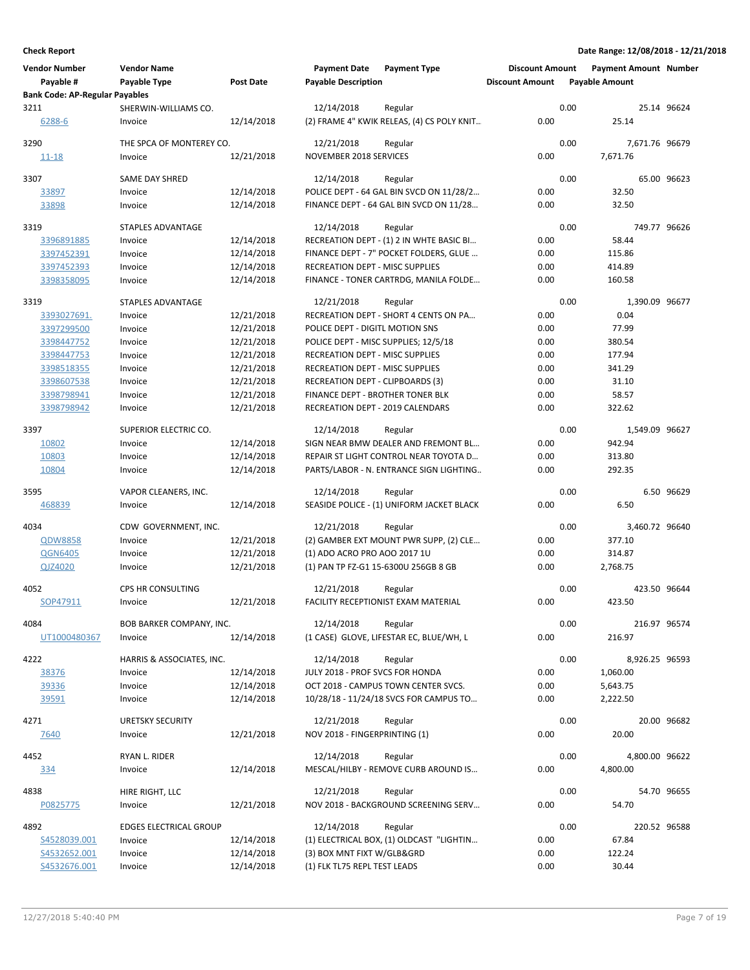| <b>Vendor Number</b>                  | <b>Vendor Name</b>              |            | <b>Payment Date</b>                    | <b>Payment Type</b>                             | <b>Discount Amount</b> |      | <b>Payment Amount Number</b> |             |
|---------------------------------------|---------------------------------|------------|----------------------------------------|-------------------------------------------------|------------------------|------|------------------------------|-------------|
| Payable #                             | Payable Type                    | Post Date  | <b>Payable Description</b>             |                                                 | <b>Discount Amount</b> |      | <b>Payable Amount</b>        |             |
| <b>Bank Code: AP-Regular Payables</b> |                                 |            |                                        |                                                 |                        |      |                              |             |
| 3211                                  | SHERWIN-WILLIAMS CO.            |            | 12/14/2018                             | Regular                                         |                        | 0.00 |                              | 25.14 96624 |
| 6288-6                                | Invoice                         | 12/14/2018 |                                        | (2) FRAME 4" KWIK RELEAS, (4) CS POLY KNIT      | 0.00                   |      | 25.14                        |             |
| 3290                                  | THE SPCA OF MONTEREY CO.        |            | 12/21/2018                             | Regular                                         |                        | 0.00 | 7,671.76 96679               |             |
| <u>11-18</u>                          | Invoice                         | 12/21/2018 | <b>NOVEMBER 2018 SERVICES</b>          |                                                 | 0.00                   |      | 7,671.76                     |             |
| 3307                                  | <b>SAME DAY SHRED</b>           |            | 12/14/2018                             | Regular                                         |                        | 0.00 |                              | 65.00 96623 |
| 33897                                 | Invoice                         | 12/14/2018 |                                        | POLICE DEPT - 64 GAL BIN SVCD ON 11/28/2        | 0.00                   |      | 32.50                        |             |
| 33898                                 | Invoice                         | 12/14/2018 |                                        | FINANCE DEPT - 64 GAL BIN SVCD ON 11/28         | 0.00                   |      | 32.50                        |             |
| 3319                                  | STAPLES ADVANTAGE               |            | 12/14/2018                             | Regular                                         |                        | 0.00 | 749.77 96626                 |             |
| 3396891885                            | Invoice                         | 12/14/2018 |                                        | RECREATION DEPT - (1) 2 IN WHTE BASIC BI        | 0.00                   |      | 58.44                        |             |
| 3397452391                            | Invoice                         | 12/14/2018 |                                        | FINANCE DEPT - 7" POCKET FOLDERS, GLUE          | 0.00                   |      | 115.86                       |             |
| 3397452393                            | Invoice                         | 12/14/2018 | RECREATION DEPT - MISC SUPPLIES        |                                                 | 0.00                   |      | 414.89                       |             |
| 3398358095                            | Invoice                         | 12/14/2018 |                                        | FINANCE - TONER CARTRDG, MANILA FOLDE           | 0.00                   |      | 160.58                       |             |
| 3319                                  | STAPLES ADVANTAGE               |            | 12/21/2018                             | Regular                                         |                        | 0.00 | 1,390.09 96677               |             |
| 3393027691.                           | Invoice                         | 12/21/2018 |                                        | RECREATION DEPT - SHORT 4 CENTS ON PA           | 0.00                   |      | 0.04                         |             |
| 3397299500                            | Invoice                         | 12/21/2018 | POLICE DEPT - DIGITL MOTION SNS        |                                                 | 0.00                   |      | 77.99                        |             |
| 3398447752                            | Invoice                         | 12/21/2018 |                                        | POLICE DEPT - MISC SUPPLIES; 12/5/18            | 0.00                   |      | 380.54                       |             |
| 3398447753                            | Invoice                         | 12/21/2018 | <b>RECREATION DEPT - MISC SUPPLIES</b> |                                                 | 0.00                   |      | 177.94                       |             |
| 3398518355                            | Invoice                         | 12/21/2018 | <b>RECREATION DEPT - MISC SUPPLIES</b> |                                                 | 0.00                   |      | 341.29                       |             |
| 3398607538                            | Invoice                         | 12/21/2018 | RECREATION DEPT - CLIPBOARDS (3)       |                                                 | 0.00                   |      | 31.10                        |             |
| 3398798941                            | Invoice                         | 12/21/2018 | FINANCE DEPT - BROTHER TONER BLK       |                                                 | 0.00                   |      | 58.57                        |             |
| 3398798942                            | Invoice                         | 12/21/2018 | RECREATION DEPT - 2019 CALENDARS       |                                                 | 0.00                   |      | 322.62                       |             |
| 3397                                  | SUPERIOR ELECTRIC CO.           |            | 12/14/2018                             | Regular                                         |                        | 0.00 | 1,549.09 96627               |             |
| 10802                                 | Invoice                         | 12/14/2018 |                                        | SIGN NEAR BMW DEALER AND FREMONT BL             | 0.00                   |      | 942.94                       |             |
| 10803                                 | Invoice                         | 12/14/2018 |                                        | REPAIR ST LIGHT CONTROL NEAR TOYOTA D           | 0.00                   |      | 313.80                       |             |
| 10804                                 | Invoice                         | 12/14/2018 |                                        | PARTS/LABOR - N. ENTRANCE SIGN LIGHTING         | 0.00                   |      | 292.35                       |             |
| 3595                                  | VAPOR CLEANERS, INC.            |            | 12/14/2018                             | Regular                                         |                        | 0.00 |                              | 6.50 96629  |
| 468839                                | Invoice                         | 12/14/2018 |                                        | SEASIDE POLICE - (1) UNIFORM JACKET BLACK       | 0.00                   |      | 6.50                         |             |
| 4034                                  | CDW GOVERNMENT, INC.            |            | 12/21/2018                             | Regular                                         |                        | 0.00 | 3,460.72 96640               |             |
| <b>QDW8858</b>                        | Invoice                         | 12/21/2018 |                                        | (2) GAMBER EXT MOUNT PWR SUPP, (2) CLE          | 0.00                   |      | 377.10                       |             |
| <b>QGN6405</b>                        | Invoice                         | 12/21/2018 | (1) ADO ACRO PRO AOO 2017 1U           |                                                 | 0.00                   |      | 314.87                       |             |
| QJZ4020                               | Invoice                         | 12/21/2018 |                                        | (1) PAN TP FZ-G1 15-6300U 256GB 8 GB            | 0.00                   |      | 2,768.75                     |             |
| 4052                                  | CPS HR CONSULTING               |            | 12/21/2018                             | Regular                                         |                        | 0.00 | 423.50 96644                 |             |
| SOP47911                              | Invoice                         | 12/21/2018 |                                        | <b>FACILITY RECEPTIONIST EXAM MATERIAL</b>      | 0.00                   |      | 423.50                       |             |
| 4084                                  | <b>BOB BARKER COMPANY, INC.</b> |            | 12/14/2018                             | Regular                                         |                        | 0.00 | 216.97 96574                 |             |
| UT1000480367                          | Invoice                         | 12/14/2018 |                                        | (1 CASE) GLOVE, LIFESTAR EC, BLUE/WH, L         | 0.00                   |      | 216.97                       |             |
| 4222                                  | HARRIS & ASSOCIATES, INC.       |            | 12/14/2018                             | Regular                                         |                        | 0.00 | 8,926.25 96593               |             |
| 38376                                 | Invoice                         | 12/14/2018 | JULY 2018 - PROF SVCS FOR HONDA        |                                                 | 0.00                   |      | 1,060.00                     |             |
| 39336                                 | Invoice                         | 12/14/2018 |                                        | OCT 2018 - CAMPUS TOWN CENTER SVCS.             | 0.00                   |      | 5,643.75                     |             |
| 39591                                 | Invoice                         | 12/14/2018 |                                        | 10/28/18 - 11/24/18 SVCS FOR CAMPUS TO          | 0.00                   |      | 2,222.50                     |             |
| 4271                                  | <b>URETSKY SECURITY</b>         |            | 12/21/2018                             | Regular                                         |                        | 0.00 |                              | 20.00 96682 |
| 7640                                  | Invoice                         | 12/21/2018 | NOV 2018 - FINGERPRINTING (1)          |                                                 | 0.00                   |      | 20.00                        |             |
|                                       |                                 |            | 12/14/2018                             |                                                 |                        | 0.00 |                              |             |
| 4452<br><u>334</u>                    | RYAN L. RIDER<br>Invoice        | 12/14/2018 |                                        | Regular<br>MESCAL/HILBY - REMOVE CURB AROUND IS | 0.00                   |      | 4,800.00 96622<br>4,800.00   |             |
|                                       |                                 |            |                                        |                                                 |                        |      |                              |             |
| 4838                                  | HIRE RIGHT, LLC                 |            | 12/21/2018                             | Regular                                         |                        | 0.00 |                              | 54.70 96655 |
| P0825775                              | Invoice                         | 12/21/2018 |                                        | NOV 2018 - BACKGROUND SCREENING SERV            | 0.00                   |      | 54.70                        |             |
| 4892                                  | <b>EDGES ELECTRICAL GROUP</b>   |            | 12/14/2018                             | Regular                                         |                        | 0.00 | 220.52 96588                 |             |
| S4528039.001                          | Invoice                         | 12/14/2018 |                                        | (1) ELECTRICAL BOX, (1) OLDCAST "LIGHTIN        | 0.00                   |      | 67.84                        |             |
| S4532652.001                          | Invoice                         | 12/14/2018 | (3) BOX MNT FIXT W/GLB&GRD             |                                                 | 0.00                   |      | 122.24                       |             |
| S4532676.001                          | Invoice                         | 12/14/2018 | (1) FLK TL75 REPL TEST LEADS           |                                                 | 0.00                   |      | 30.44                        |             |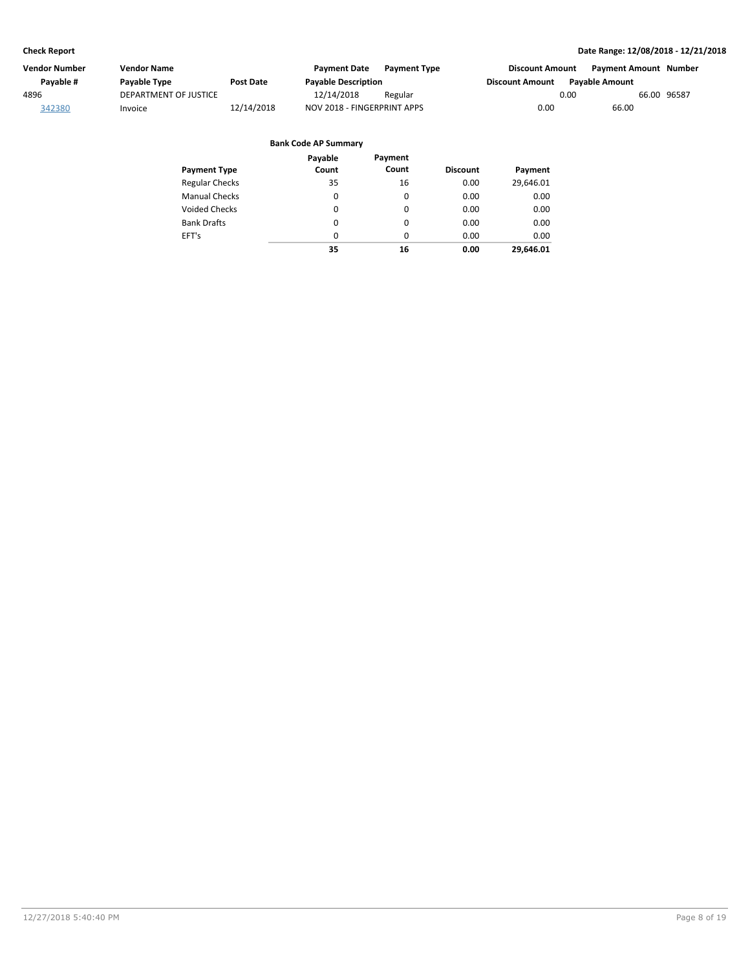| Vendor Number | <b>Vendor Name</b>    |                  | <b>Payment Date</b>         | <b>Payment Type</b> | <b>Discount Amount</b> | Payment Amount Number |
|---------------|-----------------------|------------------|-----------------------------|---------------------|------------------------|-----------------------|
| Pavable #     | Payable Type          | <b>Post Date</b> | <b>Payable Description</b>  |                     | <b>Discount Amount</b> | <b>Pavable Amount</b> |
| 4896          | DEPARTMENT OF JUSTICE |                  | 12/14/2018                  | Regular             | 0.00                   | 66.00 96587           |
| 342380        | Invoice               | 12/14/2018       | NOV 2018 - FINGERPRINT APPS |                     | 0.00                   | 66.00                 |

| <b>Payment Type</b>   | Payable<br>Count | Payment<br>Count | <b>Discount</b> | Payment   |
|-----------------------|------------------|------------------|-----------------|-----------|
|                       |                  |                  |                 |           |
| <b>Regular Checks</b> | 35               | 16               | 0.00            | 29,646.01 |
| <b>Manual Checks</b>  | 0                | 0                | 0.00            | 0.00      |
| <b>Voided Checks</b>  | 0                | 0                | 0.00            | 0.00      |
| <b>Bank Drafts</b>    | $\Omega$         | 0                | 0.00            | 0.00      |
| EFT's                 | 0                | 0                | 0.00            | 0.00      |
|                       | 35               | 16               | 0.00            | 29.646.01 |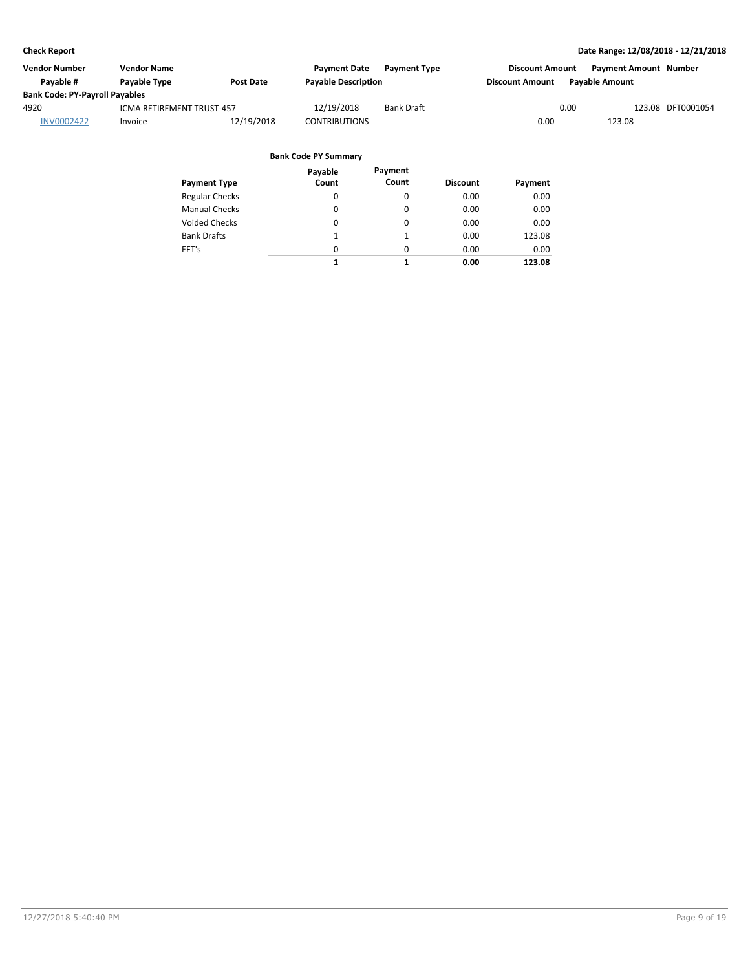| Vendor Number                         | <b>Vendor Name</b>        |                  | <b>Payment Date</b>        | <b>Payment Type</b> | <b>Discount Amount</b> | Payment Amount Number |                   |
|---------------------------------------|---------------------------|------------------|----------------------------|---------------------|------------------------|-----------------------|-------------------|
| Pavable #                             | Payable Type              | <b>Post Date</b> | <b>Payable Description</b> |                     | <b>Discount Amount</b> | <b>Pavable Amount</b> |                   |
| <b>Bank Code: PY-Payroll Payables</b> |                           |                  |                            |                     |                        |                       |                   |
| 4920                                  | ICMA RETIREMENT TRUST-457 |                  | 12/19/2018                 | <b>Bank Draft</b>   | 0.00                   |                       | 123.08 DFT0001054 |
| <b>INV0002422</b>                     | Invoice                   | 12/19/2018       | <b>CONTRIBUTIONS</b>       |                     | 0.00                   | 123.08                |                   |
|                                       |                           |                  |                            |                     |                        |                       |                   |

|                       | Payable  | Payment  |                 |         |
|-----------------------|----------|----------|-----------------|---------|
| <b>Payment Type</b>   | Count    | Count    | <b>Discount</b> | Payment |
| <b>Regular Checks</b> | 0        | 0        | 0.00            | 0.00    |
| <b>Manual Checks</b>  | 0        | 0        | 0.00            | 0.00    |
| Voided Checks         | $\Omega$ | 0        | 0.00            | 0.00    |
| <b>Bank Drafts</b>    | 1        | 1        | 0.00            | 123.08  |
| EFT's                 | $\Omega$ | $\Omega$ | 0.00            | 0.00    |
|                       | 1        | 1        | 0.00            | 123.08  |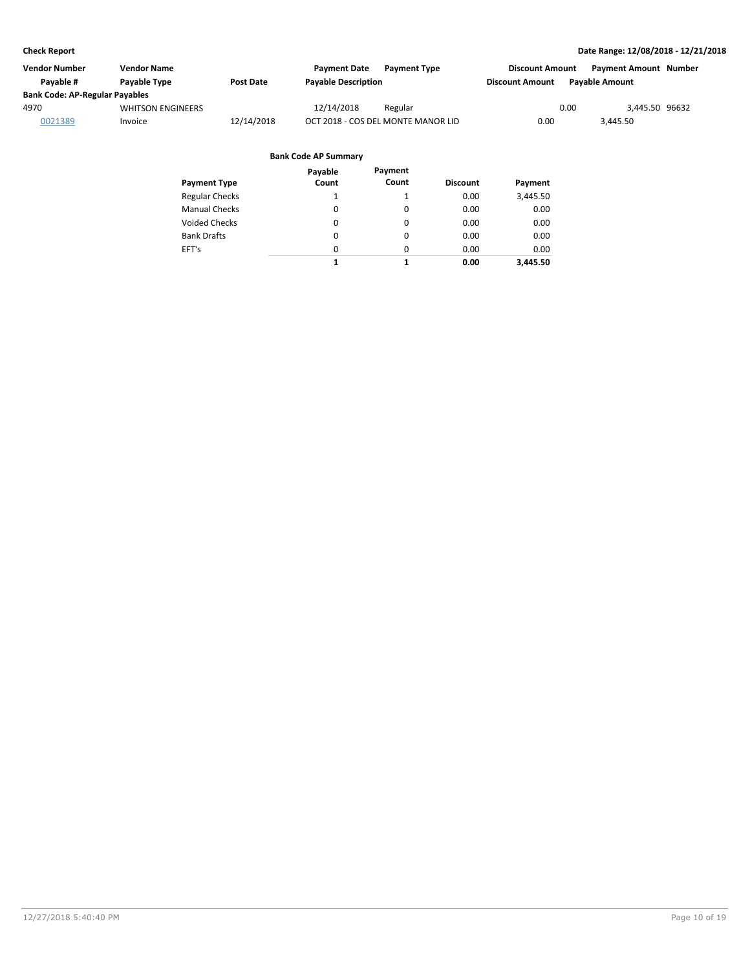| Vendor Number                         | <b>Vendor Name</b>       |                  | <b>Payment Date</b><br><b>Payment Type</b> | <b>Discount Amount</b> | <b>Payment Amount Number</b> |
|---------------------------------------|--------------------------|------------------|--------------------------------------------|------------------------|------------------------------|
| Pavable #                             | Payable Type             | <b>Post Date</b> | <b>Payable Description</b>                 | <b>Discount Amount</b> | <b>Pavable Amount</b>        |
| <b>Bank Code: AP-Regular Payables</b> |                          |                  |                                            |                        |                              |
| 4970                                  | <b>WHITSON ENGINEERS</b> |                  | 12/14/2018<br>Regular                      | 0.00                   | 3.445.50 96632               |
| 0021389                               | Invoice                  | 12/14/2018       | OCT 2018 - COS DEL MONTE MANOR LID         | 0.00                   | 3.445.50                     |

| Payment Type          | Payable<br>Count | Payment<br>Count | <b>Discount</b> | Payment  |
|-----------------------|------------------|------------------|-----------------|----------|
| <b>Regular Checks</b> | 1                |                  | 0.00            | 3,445.50 |
| Manual Checks         | 0                | 0                | 0.00            | 0.00     |
| <b>Voided Checks</b>  | 0                | 0                | 0.00            | 0.00     |
| <b>Bank Drafts</b>    | 0                | 0                | 0.00            | 0.00     |
| EFT's                 | $\Omega$         | 0                | 0.00            | 0.00     |
|                       | 1                | 1                | 0.00            | 3,445.50 |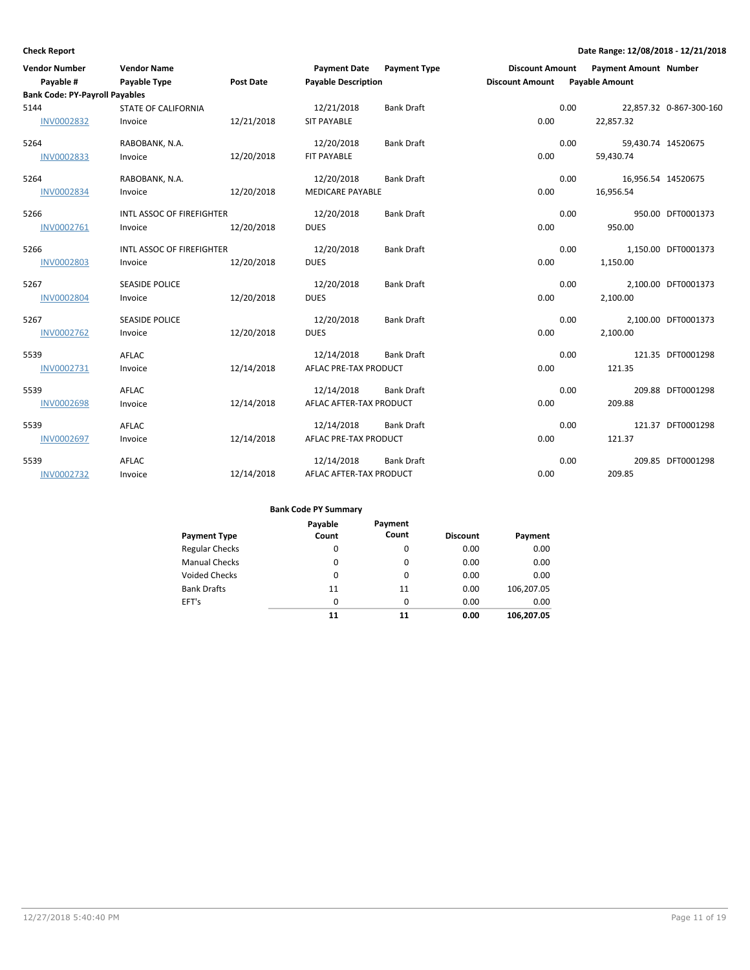| <b>Vendor Number</b>                  | <b>Vendor Name</b>               |                  | <b>Payment Date</b>        | <b>Payment Type</b> | <b>Discount Amount</b> | <b>Payment Amount Number</b> |                         |
|---------------------------------------|----------------------------------|------------------|----------------------------|---------------------|------------------------|------------------------------|-------------------------|
| Payable #                             | <b>Payable Type</b>              | <b>Post Date</b> | <b>Payable Description</b> |                     | <b>Discount Amount</b> | <b>Payable Amount</b>        |                         |
| <b>Bank Code: PY-Payroll Payables</b> |                                  |                  |                            |                     |                        |                              |                         |
| 5144                                  | <b>STATE OF CALIFORNIA</b>       |                  | 12/21/2018                 | <b>Bank Draft</b>   |                        | 0.00                         | 22,857.32 0-867-300-160 |
| <b>INV0002832</b>                     | Invoice                          | 12/21/2018       | <b>SIT PAYABLE</b>         |                     | 0.00                   | 22,857.32                    |                         |
| 5264                                  | RABOBANK, N.A.                   |                  | 12/20/2018                 | <b>Bank Draft</b>   |                        | 0.00                         | 59,430.74 14520675      |
| <b>INV0002833</b>                     | Invoice                          | 12/20/2018       | FIT PAYABLE                |                     | 0.00                   | 59,430.74                    |                         |
| 5264                                  | RABOBANK, N.A.                   |                  | 12/20/2018                 | <b>Bank Draft</b>   |                        | 0.00                         | 16,956.54 14520675      |
| <b>INV0002834</b>                     | Invoice                          | 12/20/2018       | <b>MEDICARE PAYABLE</b>    |                     | 0.00                   | 16,956.54                    |                         |
| 5266                                  | INTL ASSOC OF FIREFIGHTER        |                  | 12/20/2018                 | <b>Bank Draft</b>   |                        | 0.00                         | 950.00 DFT0001373       |
| INV0002761                            | Invoice                          | 12/20/2018       | <b>DUES</b>                |                     | 0.00                   | 950.00                       |                         |
| 5266                                  | <b>INTL ASSOC OF FIREFIGHTER</b> |                  | 12/20/2018                 | <b>Bank Draft</b>   |                        | 0.00                         | 1,150.00 DFT0001373     |
| <b>INV0002803</b>                     | Invoice                          | 12/20/2018       | <b>DUES</b>                |                     | 0.00                   | 1,150.00                     |                         |
| 5267                                  | <b>SEASIDE POLICE</b>            |                  | 12/20/2018                 | <b>Bank Draft</b>   |                        | 0.00                         | 2,100.00 DFT0001373     |
| <b>INV0002804</b>                     | Invoice                          | 12/20/2018       | <b>DUES</b>                |                     | 0.00                   | 2,100.00                     |                         |
| 5267                                  | <b>SEASIDE POLICE</b>            |                  | 12/20/2018                 | <b>Bank Draft</b>   |                        | 0.00                         | 2,100.00 DFT0001373     |
| <b>INV0002762</b>                     | Invoice                          | 12/20/2018       | <b>DUES</b>                |                     | 0.00                   | 2,100.00                     |                         |
| 5539                                  | AFLAC                            |                  | 12/14/2018                 | <b>Bank Draft</b>   |                        | 0.00                         | 121.35 DFT0001298       |
| INV0002731                            | Invoice                          | 12/14/2018       | AFLAC PRE-TAX PRODUCT      |                     | 0.00                   | 121.35                       |                         |
| 5539                                  | AFLAC                            |                  | 12/14/2018                 | <b>Bank Draft</b>   |                        | 0.00                         | 209.88 DFT0001298       |
| <b>INV0002698</b>                     | Invoice                          | 12/14/2018       | AFLAC AFTER-TAX PRODUCT    |                     | 0.00                   | 209.88                       |                         |
| 5539                                  | AFLAC                            |                  | 12/14/2018                 | <b>Bank Draft</b>   |                        | 0.00                         | 121.37 DFT0001298       |
| <b>INV0002697</b>                     | Invoice                          | 12/14/2018       | AFLAC PRE-TAX PRODUCT      |                     | 0.00                   | 121.37                       |                         |
| 5539                                  | AFLAC                            |                  | 12/14/2018                 | <b>Bank Draft</b>   |                        | 0.00                         | 209.85 DFT0001298       |
| <b>INV0002732</b>                     | Invoice                          | 12/14/2018       | AFLAC AFTER-TAX PRODUCT    |                     | 0.00                   | 209.85                       |                         |

|                       | Payable  | Payment  |                 |            |
|-----------------------|----------|----------|-----------------|------------|
| <b>Payment Type</b>   | Count    | Count    | <b>Discount</b> | Payment    |
| <b>Regular Checks</b> | 0        | 0        | 0.00            | 0.00       |
| <b>Manual Checks</b>  | 0        | 0        | 0.00            | 0.00       |
| Voided Checks         | 0        | 0        | 0.00            | 0.00       |
| <b>Bank Drafts</b>    | 11       | 11       | 0.00            | 106,207.05 |
| EFT's                 | $\Omega$ | $\Omega$ | 0.00            | 0.00       |
|                       | 11       | 11       | 0.00            | 106.207.05 |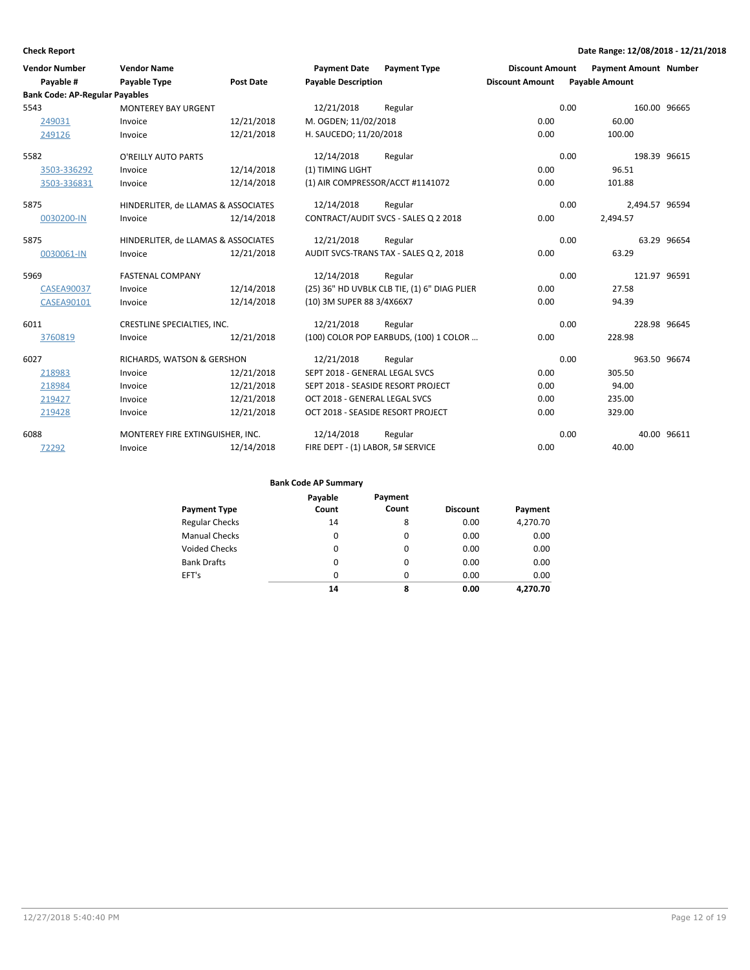| <b>Vendor Number</b>                  | <b>Vendor Name</b>                  |                  | <b>Payment Date</b>               | <b>Payment Type</b>                          | <b>Discount Amount</b> | <b>Payment Amount Number</b> |             |
|---------------------------------------|-------------------------------------|------------------|-----------------------------------|----------------------------------------------|------------------------|------------------------------|-------------|
| Payable #                             | <b>Payable Type</b>                 | <b>Post Date</b> | <b>Payable Description</b>        |                                              | <b>Discount Amount</b> | <b>Payable Amount</b>        |             |
| <b>Bank Code: AP-Regular Payables</b> |                                     |                  |                                   |                                              |                        |                              |             |
| 5543                                  | <b>MONTEREY BAY URGENT</b>          |                  | 12/21/2018                        | Regular                                      | 0.00                   | 160.00 96665                 |             |
| 249031                                | Invoice                             | 12/21/2018       | M. OGDEN; 11/02/2018              |                                              | 0.00                   | 60.00                        |             |
| 249126                                | Invoice                             | 12/21/2018       | H. SAUCEDO; 11/20/2018            |                                              | 0.00                   | 100.00                       |             |
| 5582                                  | O'REILLY AUTO PARTS                 |                  | 12/14/2018                        | Regular                                      | 0.00                   | 198.39 96615                 |             |
| 3503-336292                           | Invoice                             | 12/14/2018       | (1) TIMING LIGHT                  |                                              | 0.00                   | 96.51                        |             |
| 3503-336831                           | Invoice                             | 12/14/2018       |                                   | (1) AIR COMPRESSOR/ACCT #1141072             | 0.00                   | 101.88                       |             |
| 5875                                  | HINDERLITER, de LLAMAS & ASSOCIATES |                  | 12/14/2018                        | Regular                                      | 0.00                   | 2.494.57 96594               |             |
| 0030200-IN                            | Invoice                             | 12/14/2018       |                                   | CONTRACT/AUDIT SVCS - SALES Q 2 2018         | 0.00                   | 2,494.57                     |             |
| 5875                                  | HINDERLITER, de LLAMAS & ASSOCIATES |                  | 12/21/2018                        | Regular                                      | 0.00                   |                              | 63.29 96654 |
| 0030061-IN                            | Invoice                             | 12/21/2018       |                                   | AUDIT SVCS-TRANS TAX - SALES Q 2, 2018       | 0.00                   | 63.29                        |             |
| 5969                                  | <b>FASTENAL COMPANY</b>             |                  | 12/14/2018                        | Regular                                      | 0.00                   | 121.97 96591                 |             |
| <b>CASEA90037</b>                     | Invoice                             | 12/14/2018       |                                   | (25) 36" HD UVBLK CLB TIE, (1) 6" DIAG PLIER | 0.00                   | 27.58                        |             |
| <b>CASEA90101</b>                     | Invoice                             | 12/14/2018       | (10) 3M SUPER 88 3/4X66X7         |                                              | 0.00                   | 94.39                        |             |
| 6011                                  | CRESTLINE SPECIALTIES, INC.         |                  | 12/21/2018                        | Regular                                      | 0.00                   | 228.98 96645                 |             |
| 3760819                               | Invoice                             | 12/21/2018       |                                   | (100) COLOR POP EARBUDS, (100) 1 COLOR       | 0.00                   | 228.98                       |             |
| 6027                                  | RICHARDS, WATSON & GERSHON          |                  | 12/21/2018                        | Regular                                      | 0.00                   | 963.50 96674                 |             |
| 218983                                | Invoice                             | 12/21/2018       | SEPT 2018 - GENERAL LEGAL SVCS    |                                              | 0.00                   | 305.50                       |             |
| 218984                                | Invoice                             | 12/21/2018       |                                   | SEPT 2018 - SEASIDE RESORT PROJECT           | 0.00                   | 94.00                        |             |
| 219427                                | Invoice                             | 12/21/2018       | OCT 2018 - GENERAL LEGAL SVCS     |                                              | 0.00                   | 235.00                       |             |
| 219428                                | Invoice                             | 12/21/2018       | OCT 2018 - SEASIDE RESORT PROJECT |                                              | 0.00                   | 329.00                       |             |
| 6088                                  | MONTEREY FIRE EXTINGUISHER, INC.    |                  | 12/14/2018                        | Regular                                      | 0.00                   |                              | 40.00 96611 |
| 72292                                 | Invoice                             | 12/14/2018       | FIRE DEPT - (1) LABOR, 5# SERVICE |                                              | 0.00                   | 40.00                        |             |

| Payment Type          | Payable<br>Count | Payment<br>Count | <b>Discount</b> | Payment  |
|-----------------------|------------------|------------------|-----------------|----------|
| <b>Regular Checks</b> | 14               | 8                | 0.00            | 4,270.70 |
| <b>Manual Checks</b>  | 0                | 0                | 0.00            | 0.00     |
| <b>Voided Checks</b>  | 0                | 0                | 0.00            | 0.00     |
| <b>Bank Drafts</b>    | 0                | 0                | 0.00            | 0.00     |
| EFT's                 | 0                | 0                | 0.00            | 0.00     |
|                       | 14               | 8                | 0.00            | 4.270.70 |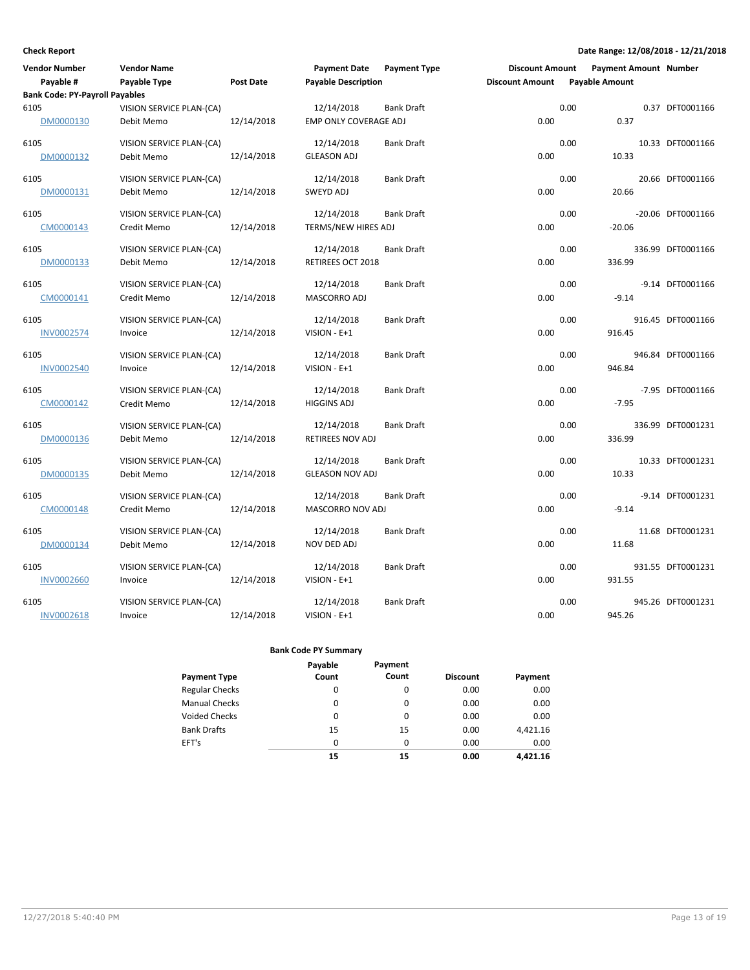| <b>Vendor Number</b>                  | <b>Vendor Name</b>       |            | <b>Payment Date</b>        | <b>Payment Type</b> | <b>Discount Amount</b> |      | <b>Payment Amount Number</b> |                   |
|---------------------------------------|--------------------------|------------|----------------------------|---------------------|------------------------|------|------------------------------|-------------------|
| Payable #                             | Payable Type             | Post Date  | <b>Payable Description</b> |                     | <b>Discount Amount</b> |      | <b>Payable Amount</b>        |                   |
| <b>Bank Code: PY-Payroll Payables</b> |                          |            |                            |                     |                        |      |                              |                   |
| 6105                                  | VISION SERVICE PLAN-(CA) |            | 12/14/2018                 | <b>Bank Draft</b>   |                        | 0.00 |                              | 0.37 DFT0001166   |
| DM0000130                             | Debit Memo               | 12/14/2018 | EMP ONLY COVERAGE ADJ      |                     | 0.00                   |      | 0.37                         |                   |
| 6105                                  | VISION SERVICE PLAN-(CA) |            | 12/14/2018                 | Bank Draft          |                        | 0.00 |                              | 10.33 DFT0001166  |
| DM0000132                             | Debit Memo               | 12/14/2018 | <b>GLEASON ADJ</b>         |                     | 0.00                   |      | 10.33                        |                   |
| 6105                                  | VISION SERVICE PLAN-(CA) |            | 12/14/2018                 | <b>Bank Draft</b>   |                        | 0.00 |                              | 20.66 DFT0001166  |
| DM0000131                             | Debit Memo               | 12/14/2018 | SWEYD ADJ                  |                     | 0.00                   |      | 20.66                        |                   |
| 6105                                  | VISION SERVICE PLAN-(CA) |            | 12/14/2018                 | <b>Bank Draft</b>   |                        | 0.00 |                              | -20.06 DFT0001166 |
| CM0000143                             | Credit Memo              | 12/14/2018 | TERMS/NEW HIRES ADJ        |                     | 0.00                   |      | $-20.06$                     |                   |
| 6105                                  | VISION SERVICE PLAN-(CA) |            | 12/14/2018                 | <b>Bank Draft</b>   |                        | 0.00 |                              | 336.99 DFT0001166 |
| DM0000133                             | Debit Memo               | 12/14/2018 | RETIREES OCT 2018          |                     | 0.00                   |      | 336.99                       |                   |
| 6105                                  | VISION SERVICE PLAN-(CA) |            | 12/14/2018                 | <b>Bank Draft</b>   |                        | 0.00 |                              | -9.14 DFT0001166  |
| CM0000141                             | Credit Memo              | 12/14/2018 | MASCORRO ADJ               |                     | 0.00                   |      | $-9.14$                      |                   |
| 6105                                  | VISION SERVICE PLAN-(CA) |            | 12/14/2018                 | <b>Bank Draft</b>   |                        | 0.00 |                              | 916.45 DFT0001166 |
| <b>INV0002574</b>                     | Invoice                  | 12/14/2018 | VISION - E+1               |                     | 0.00                   |      | 916.45                       |                   |
| 6105                                  | VISION SERVICE PLAN-(CA) |            | 12/14/2018                 | <b>Bank Draft</b>   |                        | 0.00 |                              | 946.84 DFT0001166 |
| INV0002540                            | Invoice                  | 12/14/2018 | VISION - E+1               |                     | 0.00                   |      | 946.84                       |                   |
| 6105                                  | VISION SERVICE PLAN-(CA) |            | 12/14/2018                 | <b>Bank Draft</b>   |                        | 0.00 |                              | -7.95 DFT0001166  |
| CM0000142                             | Credit Memo              | 12/14/2018 | <b>HIGGINS ADJ</b>         |                     | 0.00                   |      | $-7.95$                      |                   |
| 6105                                  | VISION SERVICE PLAN-(CA) |            | 12/14/2018                 | <b>Bank Draft</b>   |                        | 0.00 |                              | 336.99 DFT0001231 |
| DM0000136                             | Debit Memo               | 12/14/2018 | RETIREES NOV ADJ           |                     | 0.00                   |      | 336.99                       |                   |
| 6105                                  | VISION SERVICE PLAN-(CA) |            | 12/14/2018                 | Bank Draft          |                        | 0.00 |                              | 10.33 DFT0001231  |
| DM0000135                             | Debit Memo               | 12/14/2018 | <b>GLEASON NOV ADJ</b>     |                     | 0.00                   |      | 10.33                        |                   |
| 6105                                  | VISION SERVICE PLAN-(CA) |            | 12/14/2018                 | <b>Bank Draft</b>   |                        | 0.00 |                              | -9.14 DFT0001231  |
| CM0000148                             | Credit Memo              | 12/14/2018 | MASCORRO NOV ADJ           |                     | 0.00                   |      | $-9.14$                      |                   |
| 6105                                  | VISION SERVICE PLAN-(CA) |            | 12/14/2018                 | <b>Bank Draft</b>   |                        | 0.00 |                              | 11.68 DFT0001231  |
| DM0000134                             | Debit Memo               | 12/14/2018 | NOV DED ADJ                |                     | 0.00                   |      | 11.68                        |                   |
| 6105                                  | VISION SERVICE PLAN-(CA) |            | 12/14/2018                 | <b>Bank Draft</b>   |                        | 0.00 |                              | 931.55 DFT0001231 |
| <b>INV0002660</b>                     | Invoice                  | 12/14/2018 | VISION - E+1               |                     | 0.00                   |      | 931.55                       |                   |
| 6105                                  | VISION SERVICE PLAN-(CA) |            | 12/14/2018                 | <b>Bank Draft</b>   |                        | 0.00 |                              | 945.26 DFT0001231 |
| <b>INV0002618</b>                     | Invoice                  | 12/14/2018 | VISION - E+1               |                     | 0.00                   |      | 945.26                       |                   |

|                       | Payable  | Payment |                 |          |
|-----------------------|----------|---------|-----------------|----------|
| Payment Type          | Count    | Count   | <b>Discount</b> | Payment  |
| <b>Regular Checks</b> | 0        | 0       | 0.00            | 0.00     |
| <b>Manual Checks</b>  | 0        | 0       | 0.00            | 0.00     |
| <b>Voided Checks</b>  | 0        | 0       | 0.00            | 0.00     |
| <b>Bank Drafts</b>    | 15       | 15      | 0.00            | 4,421.16 |
| EFT's                 | $\Omega$ | 0       | 0.00            | 0.00     |
|                       | 15       | 15      | 0.00            | 4.421.16 |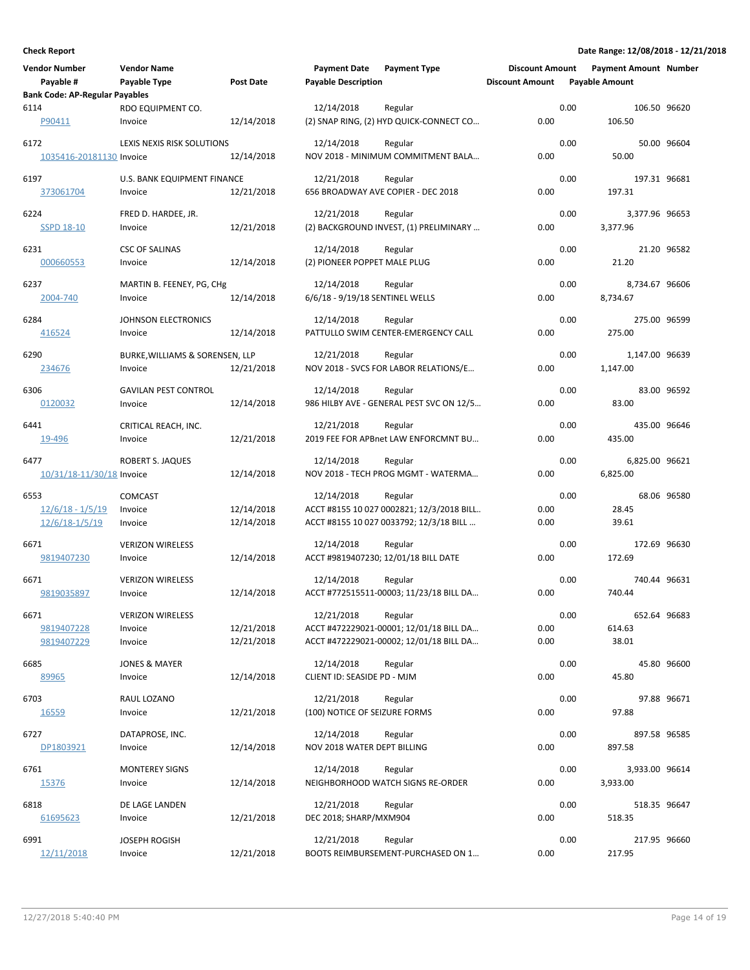| <b>Vendor Number</b><br>Payable #                       | <b>Vendor Name</b><br>Payable Type            | Post Date                | <b>Payment Date</b><br><b>Payable Description</b> | <b>Payment Type</b>                                                                             | <b>Discount Amount</b><br><b>Discount Amount</b> |      | <b>Payment Amount Number</b><br><b>Payable Amount</b> |             |
|---------------------------------------------------------|-----------------------------------------------|--------------------------|---------------------------------------------------|-------------------------------------------------------------------------------------------------|--------------------------------------------------|------|-------------------------------------------------------|-------------|
| <b>Bank Code: AP-Regular Payables</b><br>6114<br>P90411 | RDO EQUIPMENT CO.<br>Invoice                  | 12/14/2018               | 12/14/2018                                        | Regular<br>(2) SNAP RING, (2) HYD QUICK-CONNECT CO                                              | 0.00                                             | 0.00 | 106.50 96620<br>106.50                                |             |
| 6172<br>1035416-20181130 Invoice                        | LEXIS NEXIS RISK SOLUTIONS                    | 12/14/2018               | 12/14/2018                                        | Regular<br>NOV 2018 - MINIMUM COMMITMENT BALA                                                   | 0.00                                             | 0.00 | 50.00                                                 | 50.00 96604 |
| 6197<br>373061704                                       | U.S. BANK EQUIPMENT FINANCE<br>Invoice        | 12/21/2018               | 12/21/2018                                        | Regular<br>656 BROADWAY AVE COPIER - DEC 2018                                                   | 0.00                                             | 0.00 | 197.31 96681<br>197.31                                |             |
| 6224<br><b>SSPD 18-10</b>                               | FRED D. HARDEE, JR.<br>Invoice                | 12/21/2018               | 12/21/2018                                        | Regular<br>(2) BACKGROUND INVEST, (1) PRELIMINARY                                               | 0.00                                             | 0.00 | 3,377.96 96653<br>3,377.96                            |             |
| 6231<br>000660553                                       | <b>CSC OF SALINAS</b><br>Invoice              | 12/14/2018               | 12/14/2018<br>(2) PIONEER POPPET MALE PLUG        | Regular                                                                                         | 0.00                                             | 0.00 | 21.20                                                 | 21.20 96582 |
| 6237<br>2004-740                                        | MARTIN B. FEENEY, PG, CHg<br>Invoice          | 12/14/2018               | 12/14/2018<br>6/6/18 - 9/19/18 SENTINEL WELLS     | Regular                                                                                         | 0.00                                             | 0.00 | 8,734.67 96606<br>8,734.67                            |             |
| 6284<br>416524                                          | JOHNSON ELECTRONICS<br>Invoice                | 12/14/2018               | 12/14/2018                                        | Regular<br>PATTULLO SWIM CENTER-EMERGENCY CALL                                                  | 0.00                                             | 0.00 | 275.00 96599<br>275.00                                |             |
| 6290<br>234676                                          | BURKE, WILLIAMS & SORENSEN, LLP<br>Invoice    | 12/21/2018               | 12/21/2018                                        | Regular<br>NOV 2018 - SVCS FOR LABOR RELATIONS/E                                                | 0.00                                             | 0.00 | 1,147.00 96639<br>1,147.00                            |             |
| 6306<br>0120032                                         | <b>GAVILAN PEST CONTROL</b><br>Invoice        | 12/14/2018               | 12/14/2018                                        | Regular<br>986 HILBY AVE - GENERAL PEST SVC ON 12/5                                             | 0.00                                             | 0.00 | 83.00                                                 | 83.00 96592 |
| 6441<br>19-496                                          | CRITICAL REACH, INC.<br>Invoice               | 12/21/2018               | 12/21/2018                                        | Regular<br>2019 FEE FOR APBnet LAW ENFORCMNT BU                                                 | 0.00                                             | 0.00 | 435.00 96646<br>435.00                                |             |
| 6477<br>10/31/18-11/30/18 Invoice                       | ROBERT S. JAQUES                              | 12/14/2018               | 12/14/2018                                        | Regular<br>NOV 2018 - TECH PROG MGMT - WATERMA                                                  | 0.00                                             | 0.00 | 6,825.00 96621<br>6,825.00                            |             |
| 6553<br>$12/6/18 - 1/5/19$<br>12/6/18-1/5/19            | <b>COMCAST</b><br>Invoice<br>Invoice          | 12/14/2018<br>12/14/2018 | 12/14/2018                                        | Regular<br>ACCT #8155 10 027 0002821; 12/3/2018 BILL<br>ACCT #8155 10 027 0033792; 12/3/18 BILL | 0.00<br>0.00                                     | 0.00 | 28.45<br>39.61                                        | 68.06 96580 |
| 6671<br>9819407230                                      | <b>VERIZON WIRELESS</b><br>Invoice            | 12/14/2018               | 12/14/2018                                        | Regular<br>ACCT #9819407230; 12/01/18 BILL DATE                                                 | 0.00                                             | 0.00 | 172.69 96630<br>172.69                                |             |
| 6671<br>9819035897                                      | <b>VERIZON WIRELESS</b><br>Invoice            | 12/14/2018               | 12/14/2018                                        | Regular<br>ACCT #772515511-00003; 11/23/18 BILL DA                                              | 0.00                                             | 0.00 | 740.44 96631<br>740.44                                |             |
| 6671<br>9819407228<br>9819407229                        | <b>VERIZON WIRELESS</b><br>Invoice<br>Invoice | 12/21/2018<br>12/21/2018 | 12/21/2018                                        | Regular<br>ACCT #472229021-00001; 12/01/18 BILL DA<br>ACCT #472229021-00002; 12/01/18 BILL DA   | 0.00<br>0.00                                     | 0.00 | 652.64 96683<br>614.63<br>38.01                       |             |
| 6685<br>89965                                           | <b>JONES &amp; MAYER</b><br>Invoice           | 12/14/2018               | 12/14/2018<br>CLIENT ID: SEASIDE PD - MJM         | Regular                                                                                         | 0.00                                             | 0.00 | 45.80                                                 | 45.80 96600 |
| 6703<br>16559                                           | RAUL LOZANO<br>Invoice                        | 12/21/2018               | 12/21/2018<br>(100) NOTICE OF SEIZURE FORMS       | Regular                                                                                         | 0.00                                             | 0.00 | 97.88                                                 | 97.88 96671 |
| 6727<br>DP1803921                                       | DATAPROSE, INC.<br>Invoice                    | 12/14/2018               | 12/14/2018<br>NOV 2018 WATER DEPT BILLING         | Regular                                                                                         | 0.00                                             | 0.00 | 897.58 96585<br>897.58                                |             |
| 6761<br>15376                                           | <b>MONTEREY SIGNS</b><br>Invoice              | 12/14/2018               | 12/14/2018                                        | Regular<br>NEIGHBORHOOD WATCH SIGNS RE-ORDER                                                    | 0.00                                             | 0.00 | 3,933.00 96614<br>3,933.00                            |             |
| 6818<br>61695623                                        | DE LAGE LANDEN<br>Invoice                     | 12/21/2018               | 12/21/2018<br>DEC 2018; SHARP/MXM904              | Regular                                                                                         | 0.00                                             | 0.00 | 518.35 96647<br>518.35                                |             |
| 6991<br>12/11/2018                                      | <b>JOSEPH ROGISH</b><br>Invoice               | 12/21/2018               | 12/21/2018                                        | Regular<br>BOOTS REIMBURSEMENT-PURCHASED ON 1                                                   | 0.00                                             | 0.00 | 217.95 96660<br>217.95                                |             |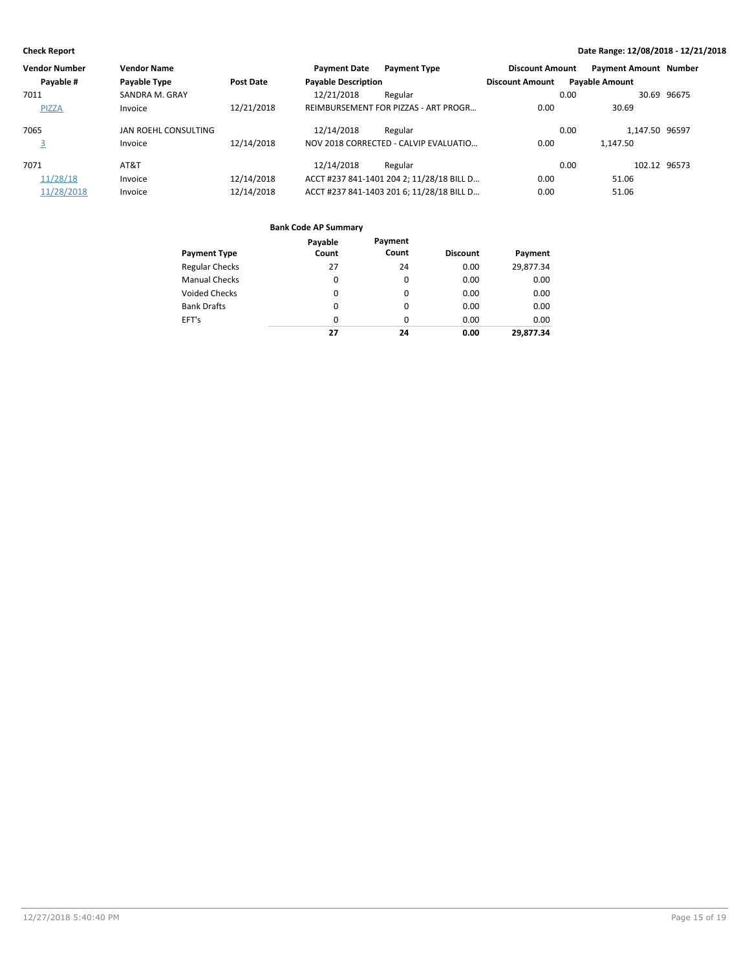| <b>Vendor Number</b> | <b>Vendor Name</b>   |                  | <b>Payment Date</b>        | <b>Payment Type</b>                       | <b>Discount Amount</b> | <b>Payment Amount Number</b> |              |
|----------------------|----------------------|------------------|----------------------------|-------------------------------------------|------------------------|------------------------------|--------------|
| Payable #            | Payable Type         | <b>Post Date</b> | <b>Payable Description</b> |                                           | <b>Discount Amount</b> | <b>Payable Amount</b>        |              |
| 7011                 | SANDRA M. GRAY       |                  | 12/21/2018                 | Regular                                   |                        | 0.00                         | 30.69 96675  |
| <b>PIZZA</b>         | Invoice              | 12/21/2018       |                            | REIMBURSEMENT FOR PIZZAS - ART PROGR      | 0.00                   | 30.69                        |              |
| 7065                 | JAN ROEHL CONSULTING |                  | 12/14/2018                 | Regular                                   |                        | 1.147.50 96597<br>0.00       |              |
| 3                    | Invoice              | 12/14/2018       |                            | NOV 2018 CORRECTED - CALVIP EVALUATIO     | 0.00                   | 1.147.50                     |              |
| 7071                 | AT&T                 |                  | 12/14/2018                 | Regular                                   |                        | 0.00                         | 102.12 96573 |
| 11/28/18             | Invoice              | 12/14/2018       |                            | ACCT #237 841-1401 204 2; 11/28/18 BILL D | 0.00                   | 51.06                        |              |
| 11/28/2018           | Invoice              | 12/14/2018       |                            | ACCT #237 841-1403 201 6; 11/28/18 BILL D | 0.00                   | 51.06                        |              |

|                       | Payable  | Payment  |                 |           |
|-----------------------|----------|----------|-----------------|-----------|
| <b>Payment Type</b>   | Count    | Count    | <b>Discount</b> | Payment   |
| <b>Regular Checks</b> | 27       | 24       | 0.00            | 29,877.34 |
| <b>Manual Checks</b>  | 0        | 0        | 0.00            | 0.00      |
| <b>Voided Checks</b>  | $\Omega$ | $\Omega$ | 0.00            | 0.00      |
| <b>Bank Drafts</b>    | $\Omega$ | $\Omega$ | 0.00            | 0.00      |
| EFT's                 | $\Omega$ | 0        | 0.00            | 0.00      |
|                       | 27       | 24       | 0.00            | 29.877.34 |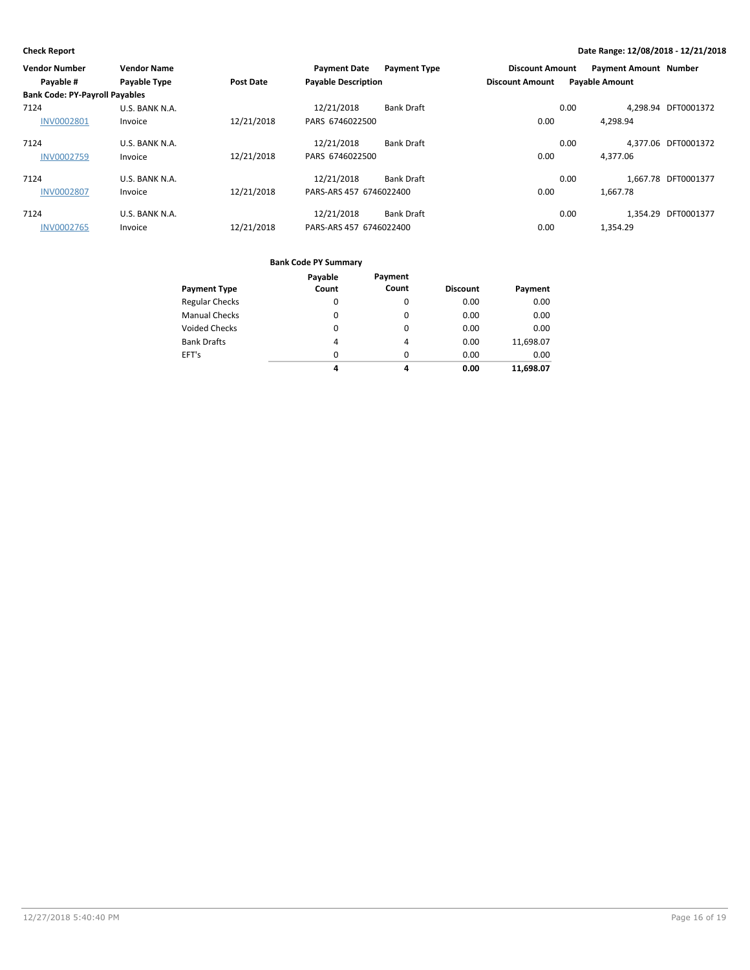| <b>Vendor Number</b>                  | <b>Vendor Name</b>  |                  | <b>Payment Date</b>        | <b>Payment Type</b> | <b>Discount Amount</b> |      | <b>Payment Amount Number</b> |                     |
|---------------------------------------|---------------------|------------------|----------------------------|---------------------|------------------------|------|------------------------------|---------------------|
| Payable #                             | <b>Payable Type</b> | <b>Post Date</b> | <b>Payable Description</b> |                     | <b>Discount Amount</b> |      | <b>Payable Amount</b>        |                     |
| <b>Bank Code: PY-Payroll Payables</b> |                     |                  |                            |                     |                        |      |                              |                     |
| 7124                                  | U.S. BANK N.A.      |                  | 12/21/2018                 | <b>Bank Draft</b>   |                        | 0.00 |                              | 4.298.94 DFT0001372 |
| <b>INV0002801</b>                     | Invoice             | 12/21/2018       | PARS 6746022500            |                     | 0.00                   |      | 4,298.94                     |                     |
| 7124                                  | U.S. BANK N.A.      |                  | 12/21/2018                 | <b>Bank Draft</b>   |                        | 0.00 |                              | 4.377.06 DFT0001372 |
| <b>INV0002759</b>                     | Invoice             | 12/21/2018       | PARS 6746022500            |                     | 0.00                   |      | 4.377.06                     |                     |
| 7124                                  | U.S. BANK N.A.      |                  | 12/21/2018                 | <b>Bank Draft</b>   |                        | 0.00 |                              | 1.667.78 DFT0001377 |
| <b>INV0002807</b>                     | Invoice             | 12/21/2018       | PARS-ARS 457 6746022400    |                     | 0.00                   |      | 1.667.78                     |                     |
| 7124                                  | U.S. BANK N.A.      |                  | 12/21/2018                 | Bank Draft          |                        | 0.00 |                              | 1.354.29 DFT0001377 |
| <b>INV0002765</b>                     | Invoice             | 12/21/2018       | PARS-ARS 457 6746022400    |                     | 0.00                   |      | 1.354.29                     |                     |

|                       | Payable  | Payment  |                 |           |
|-----------------------|----------|----------|-----------------|-----------|
| <b>Payment Type</b>   | Count    | Count    | <b>Discount</b> | Payment   |
| <b>Regular Checks</b> | 0        | 0        | 0.00            | 0.00      |
| <b>Manual Checks</b>  | 0        | 0        | 0.00            | 0.00      |
| <b>Voided Checks</b>  | 0        | $\Omega$ | 0.00            | 0.00      |
| <b>Bank Drafts</b>    | 4        | 4        | 0.00            | 11,698.07 |
| EFT's                 | $\Omega$ | $\Omega$ | 0.00            | 0.00      |
|                       | 4        | 4        | 0.00            | 11,698.07 |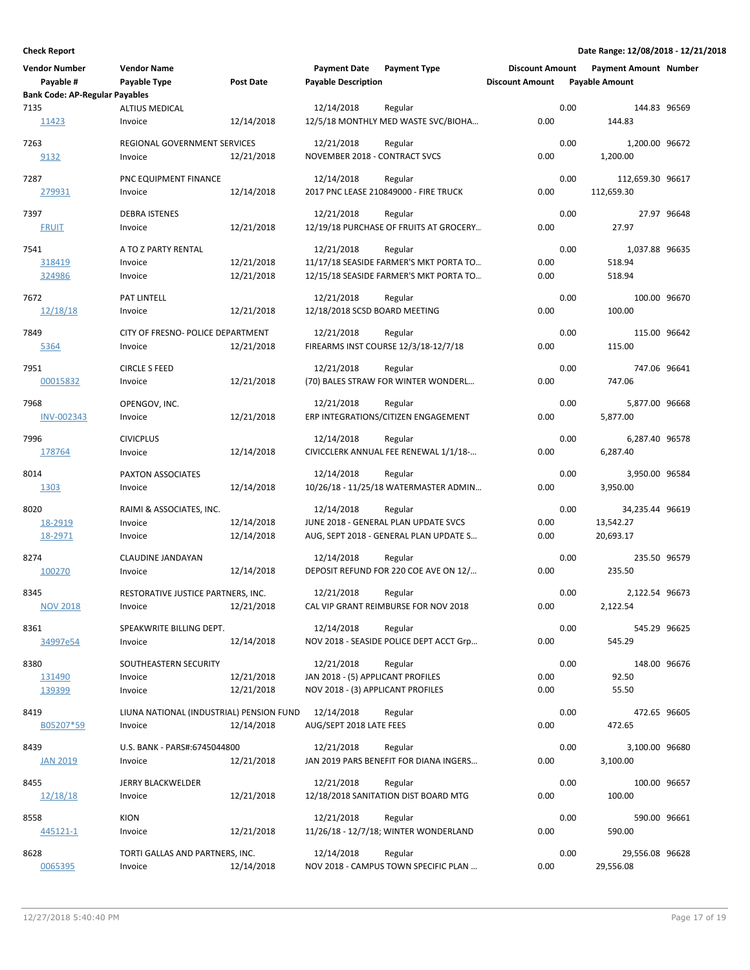| <b>Vendor Number</b><br>Payable #     | <b>Vendor Name</b><br>Payable Type       | <b>Post Date</b> | <b>Payment Date</b><br><b>Payable Description</b> | <b>Payment Type</b>                               | <b>Discount Amount</b><br><b>Discount Amount</b> |      | <b>Payment Amount Number</b><br><b>Payable Amount</b> |             |
|---------------------------------------|------------------------------------------|------------------|---------------------------------------------------|---------------------------------------------------|--------------------------------------------------|------|-------------------------------------------------------|-------------|
| <b>Bank Code: AP-Regular Payables</b> |                                          |                  |                                                   |                                                   |                                                  |      |                                                       |             |
| 7135                                  | <b>ALTIUS MEDICAL</b>                    |                  | 12/14/2018                                        | Regular                                           |                                                  | 0.00 | 144.83 96569                                          |             |
| 11423                                 | Invoice                                  | 12/14/2018       |                                                   | 12/5/18 MONTHLY MED WASTE SVC/BIOHA               | 0.00                                             |      | 144.83                                                |             |
| 7263                                  | REGIONAL GOVERNMENT SERVICES             |                  | 12/21/2018                                        | Regular                                           |                                                  | 0.00 | 1,200.00 96672                                        |             |
| 9132                                  | Invoice                                  | 12/21/2018       | NOVEMBER 2018 - CONTRACT SVCS                     |                                                   | 0.00                                             |      | 1,200.00                                              |             |
| 7287                                  | PNC EQUIPMENT FINANCE                    |                  | 12/14/2018                                        | Regular                                           |                                                  | 0.00 | 112,659.30 96617                                      |             |
| 279931                                | Invoice                                  | 12/14/2018       |                                                   | 2017 PNC LEASE 210849000 - FIRE TRUCK             | 0.00                                             |      | 112,659.30                                            |             |
| 7397                                  | <b>DEBRA ISTENES</b>                     |                  | 12/21/2018                                        | Regular                                           |                                                  | 0.00 |                                                       | 27.97 96648 |
| <b>FRUIT</b>                          | Invoice                                  | 12/21/2018       |                                                   | 12/19/18 PURCHASE OF FRUITS AT GROCERY            | 0.00                                             |      | 27.97                                                 |             |
| 7541                                  | A TO Z PARTY RENTAL                      |                  | 12/21/2018                                        | Regular                                           |                                                  | 0.00 | 1,037.88 96635                                        |             |
| 318419                                | Invoice                                  | 12/21/2018       |                                                   | 11/17/18 SEASIDE FARMER'S MKT PORTA TO            | 0.00                                             |      | 518.94                                                |             |
| 324986                                | Invoice                                  | 12/21/2018       |                                                   | 12/15/18 SEASIDE FARMER'S MKT PORTA TO            | 0.00                                             |      | 518.94                                                |             |
| 7672                                  | PAT LINTELL                              |                  | 12/21/2018                                        | Regular                                           |                                                  | 0.00 | 100.00 96670                                          |             |
| 12/18/18                              | Invoice                                  | 12/21/2018       | 12/18/2018 SCSD BOARD MEETING                     |                                                   | 0.00                                             |      | 100.00                                                |             |
| 7849                                  | CITY OF FRESNO- POLICE DEPARTMENT        |                  | 12/21/2018                                        | Regular                                           |                                                  | 0.00 | 115.00 96642                                          |             |
| 5364                                  | Invoice                                  | 12/21/2018       |                                                   | FIREARMS INST COURSE 12/3/18-12/7/18              | 0.00                                             |      | 115.00                                                |             |
| 7951                                  | <b>CIRCLE S FEED</b>                     |                  | 12/21/2018                                        | Regular                                           |                                                  | 0.00 | 747.06 96641                                          |             |
| 00015832                              | Invoice                                  | 12/21/2018       |                                                   | (70) BALES STRAW FOR WINTER WONDERL               | 0.00                                             |      | 747.06                                                |             |
|                                       |                                          |                  |                                                   |                                                   |                                                  |      |                                                       |             |
| 7968<br><b>INV-002343</b>             | OPENGOV, INC.<br>Invoice                 | 12/21/2018       | 12/21/2018                                        | Regular<br>ERP INTEGRATIONS/CITIZEN ENGAGEMENT    | 0.00                                             | 0.00 | 5,877.00 96668<br>5,877.00                            |             |
|                                       |                                          |                  |                                                   |                                                   |                                                  |      |                                                       |             |
| 7996                                  | <b>CIVICPLUS</b>                         |                  | 12/14/2018                                        | Regular                                           |                                                  | 0.00 | 6,287.40 96578                                        |             |
| 178764                                | Invoice                                  | 12/14/2018       |                                                   | CIVICCLERK ANNUAL FEE RENEWAL 1/1/18-             | 0.00                                             |      | 6,287.40                                              |             |
| 8014                                  | PAXTON ASSOCIATES                        |                  | 12/14/2018                                        | Regular                                           |                                                  | 0.00 | 3,950.00 96584                                        |             |
| 1303                                  | Invoice                                  | 12/14/2018       |                                                   | 10/26/18 - 11/25/18 WATERMASTER ADMIN             | 0.00                                             |      | 3,950.00                                              |             |
| 8020                                  | RAIMI & ASSOCIATES, INC.                 |                  | 12/14/2018                                        | Regular                                           |                                                  | 0.00 | 34,235.44 96619                                       |             |
| 18-2919                               | Invoice                                  | 12/14/2018       |                                                   | JUNE 2018 - GENERAL PLAN UPDATE SVCS              | 0.00                                             |      | 13,542.27                                             |             |
| 18-2971                               | Invoice                                  | 12/14/2018       |                                                   | AUG, SEPT 2018 - GENERAL PLAN UPDATE S            | 0.00                                             |      | 20,693.17                                             |             |
| 8274                                  | CLAUDINE JANDAYAN                        |                  | 12/14/2018                                        | Regular                                           |                                                  | 0.00 | 235.50 96579                                          |             |
| 100270                                | Invoice                                  | 12/14/2018       |                                                   | DEPOSIT REFUND FOR 220 COE AVE ON 12/             | 0.00                                             |      | 235.50                                                |             |
| 8345                                  | RESTORATIVE JUSTICE PARTNERS, INC.       |                  | 12/21/2018                                        | Regular                                           |                                                  | 0.00 | 2,122.54 96673                                        |             |
| <b>NOV 2018</b>                       | Invoice                                  | 12/21/2018       |                                                   | CAL VIP GRANT REIMBURSE FOR NOV 2018              | 0.00                                             |      | 2,122.54                                              |             |
| 8361                                  | SPEAKWRITE BILLING DEPT.                 |                  | 12/14/2018                                        | Regular                                           |                                                  | 0.00 | 545.29 96625                                          |             |
| 34997e54                              | Invoice                                  | 12/14/2018       |                                                   | NOV 2018 - SEASIDE POLICE DEPT ACCT Grp           | 0.00                                             |      | 545.29                                                |             |
| 8380                                  | SOUTHEASTERN SECURITY                    |                  | 12/21/2018                                        | Regular                                           |                                                  | 0.00 | 148.00 96676                                          |             |
| 131490                                | Invoice                                  | 12/21/2018       | JAN 2018 - (5) APPLICANT PROFILES                 |                                                   | 0.00                                             |      | 92.50                                                 |             |
| 139399                                | Invoice                                  | 12/21/2018       | NOV 2018 - (3) APPLICANT PROFILES                 |                                                   | 0.00                                             |      | 55.50                                                 |             |
| 8419                                  | LIUNA NATIONAL (INDUSTRIAL) PENSION FUND |                  | 12/14/2018                                        | Regular                                           |                                                  | 0.00 | 472.65 96605                                          |             |
| B05207*59                             | Invoice                                  | 12/14/2018       | AUG/SEPT 2018 LATE FEES                           |                                                   | 0.00                                             |      | 472.65                                                |             |
|                                       |                                          |                  |                                                   |                                                   |                                                  |      |                                                       |             |
| 8439<br><b>JAN 2019</b>               | U.S. BANK - PARS#:6745044800<br>Invoice  | 12/21/2018       | 12/21/2018                                        | Regular<br>JAN 2019 PARS BENEFIT FOR DIANA INGERS | 0.00                                             | 0.00 | 3,100.00 96680<br>3,100.00                            |             |
|                                       |                                          |                  |                                                   |                                                   |                                                  |      |                                                       |             |
| 8455                                  | JERRY BLACKWELDER                        |                  | 12/21/2018                                        | Regular                                           |                                                  | 0.00 | 100.00 96657                                          |             |
| 12/18/18                              | Invoice                                  | 12/21/2018       |                                                   | 12/18/2018 SANITATION DIST BOARD MTG              | 0.00                                             |      | 100.00                                                |             |
| 8558                                  | <b>KION</b>                              |                  | 12/21/2018                                        | Regular                                           |                                                  | 0.00 | 590.00 96661                                          |             |
| 445121-1                              | Invoice                                  | 12/21/2018       |                                                   | 11/26/18 - 12/7/18; WINTER WONDERLAND             | 0.00                                             |      | 590.00                                                |             |
| 8628                                  | TORTI GALLAS AND PARTNERS, INC.          |                  | 12/14/2018                                        | Regular                                           |                                                  | 0.00 | 29,556.08 96628                                       |             |
| 0065395                               | Invoice                                  | 12/14/2018       |                                                   | NOV 2018 - CAMPUS TOWN SPECIFIC PLAN              | 0.00                                             |      | 29,556.08                                             |             |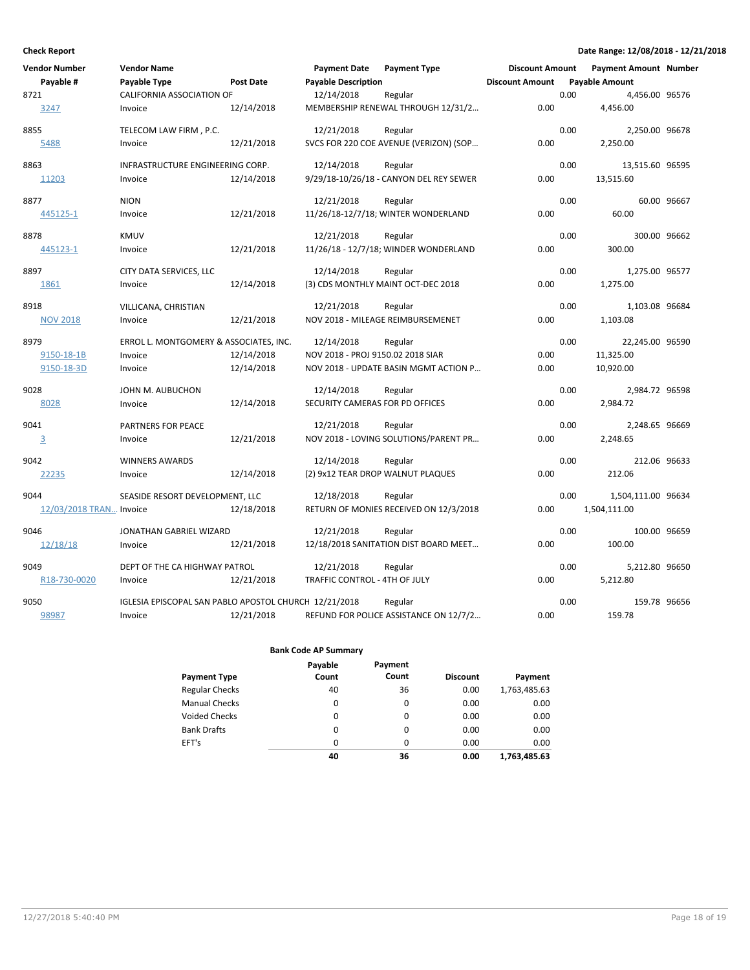| Vendor Number           | <b>Vendor Name</b>                                    |                  | <b>Payment Date</b>               | <b>Payment Type</b>                     | <b>Discount Amount</b> |      | <b>Payment Amount Number</b> |             |
|-------------------------|-------------------------------------------------------|------------------|-----------------------------------|-----------------------------------------|------------------------|------|------------------------------|-------------|
| Payable #               | Payable Type                                          | <b>Post Date</b> | <b>Payable Description</b>        |                                         | <b>Discount Amount</b> |      | <b>Payable Amount</b>        |             |
| 8721                    | CALIFORNIA ASSOCIATION OF                             |                  | 12/14/2018                        | Regular                                 |                        | 0.00 | 4,456.00 96576               |             |
| 3247                    | Invoice                                               | 12/14/2018       |                                   | MEMBERSHIP RENEWAL THROUGH 12/31/2      | 0.00                   |      | 4,456.00                     |             |
| 8855                    | TELECOM LAW FIRM, P.C.                                |                  | 12/21/2018                        | Regular                                 |                        | 0.00 | 2,250.00 96678               |             |
| 5488                    | Invoice                                               | 12/21/2018       |                                   | SVCS FOR 220 COE AVENUE (VERIZON) (SOP  | 0.00                   |      | 2,250.00                     |             |
| 8863                    | INFRASTRUCTURE ENGINEERING CORP.                      |                  | 12/14/2018                        | Regular                                 |                        | 0.00 | 13,515.60 96595              |             |
| 11203                   | Invoice                                               | 12/14/2018       |                                   | 9/29/18-10/26/18 - CANYON DEL REY SEWER | 0.00                   |      | 13,515.60                    |             |
| 8877                    | <b>NION</b>                                           |                  | 12/21/2018                        | Regular                                 |                        | 0.00 |                              | 60.00 96667 |
| 445125-1                | Invoice                                               | 12/21/2018       |                                   | 11/26/18-12/7/18; WINTER WONDERLAND     | 0.00                   |      | 60.00                        |             |
| 8878                    | <b>KMUV</b>                                           |                  | 12/21/2018                        | Regular                                 |                        | 0.00 | 300.00 96662                 |             |
| 445123-1                | Invoice                                               | 12/21/2018       |                                   | 11/26/18 - 12/7/18; WINDER WONDERLAND   | 0.00                   |      | 300.00                       |             |
| 8897                    | CITY DATA SERVICES, LLC                               |                  | 12/14/2018                        | Regular                                 |                        | 0.00 | 1,275.00 96577               |             |
| 1861                    | Invoice                                               | 12/14/2018       |                                   | (3) CDS MONTHLY MAINT OCT-DEC 2018      | 0.00                   |      | 1,275.00                     |             |
| 8918                    | VILLICANA, CHRISTIAN                                  |                  | 12/21/2018                        | Regular                                 |                        | 0.00 | 1,103.08 96684               |             |
| <b>NOV 2018</b>         | Invoice                                               | 12/21/2018       |                                   | NOV 2018 - MILEAGE REIMBURSEMENET       | 0.00                   |      | 1,103.08                     |             |
| 8979                    | ERROL L. MONTGOMERY & ASSOCIATES, INC.                |                  | 12/14/2018                        | Regular                                 |                        | 0.00 | 22,245.00 96590              |             |
| 9150-18-1B              | Invoice                                               | 12/14/2018       | NOV 2018 - PROJ 9150.02 2018 SIAR |                                         | 0.00                   |      | 11,325.00                    |             |
| 9150-18-3D              | Invoice                                               | 12/14/2018       |                                   | NOV 2018 - UPDATE BASIN MGMT ACTION P   | 0.00                   |      | 10,920.00                    |             |
| 9028                    | JOHN M. AUBUCHON                                      |                  | 12/14/2018                        | Regular                                 |                        | 0.00 | 2,984.72 96598               |             |
| 8028                    | Invoice                                               | 12/14/2018       | SECURITY CAMERAS FOR PD OFFICES   |                                         | 0.00                   |      | 2,984.72                     |             |
| 9041                    | PARTNERS FOR PEACE                                    |                  | 12/21/2018                        | Regular                                 |                        | 0.00 | 2,248.65 96669               |             |
| $\overline{3}$          | Invoice                                               | 12/21/2018       |                                   | NOV 2018 - LOVING SOLUTIONS/PARENT PR   | 0.00                   |      | 2,248.65                     |             |
| 9042                    | <b>WINNERS AWARDS</b>                                 |                  | 12/14/2018                        | Regular                                 |                        | 0.00 | 212.06 96633                 |             |
| 22235                   | Invoice                                               | 12/14/2018       |                                   | (2) 9x12 TEAR DROP WALNUT PLAQUES       | 0.00                   |      | 212.06                       |             |
| 9044                    | SEASIDE RESORT DEVELOPMENT, LLC                       |                  | 12/18/2018                        | Regular                                 |                        | 0.00 | 1,504,111.00 96634           |             |
| 12/03/2018 TRAN Invoice |                                                       | 12/18/2018       |                                   | RETURN OF MONIES RECEIVED ON 12/3/2018  | 0.00                   |      | 1,504,111.00                 |             |
| 9046                    | JONATHAN GABRIEL WIZARD                               |                  | 12/21/2018                        | Regular                                 |                        | 0.00 | 100.00 96659                 |             |
| 12/18/18                | Invoice                                               | 12/21/2018       |                                   | 12/18/2018 SANITATION DIST BOARD MEET   | 0.00                   |      | 100.00                       |             |
| 9049                    | DEPT OF THE CA HIGHWAY PATROL                         |                  | 12/21/2018                        | Regular                                 |                        | 0.00 | 5,212.80 96650               |             |
| R18-730-0020            | Invoice                                               | 12/21/2018       | TRAFFIC CONTROL - 4TH OF JULY     |                                         | 0.00                   |      | 5.212.80                     |             |
| 9050                    | IGLESIA EPISCOPAL SAN PABLO APOSTOL CHURCH 12/21/2018 |                  |                                   | Regular                                 |                        | 0.00 | 159.78 96656                 |             |
| 98987                   | Invoice                                               | 12/21/2018       |                                   | REFUND FOR POLICE ASSISTANCE ON 12/7/2  | 0.00                   |      | 159.78                       |             |

|                       | Payable  | Payment  |                 |              |
|-----------------------|----------|----------|-----------------|--------------|
| <b>Payment Type</b>   | Count    | Count    | <b>Discount</b> | Payment      |
| <b>Regular Checks</b> | 40       | 36       | 0.00            | 1,763,485.63 |
| <b>Manual Checks</b>  | 0        | 0        | 0.00            | 0.00         |
| Voided Checks         | 0        | $\Omega$ | 0.00            | 0.00         |
| <b>Bank Drafts</b>    | $\Omega$ | $\Omega$ | 0.00            | 0.00         |
| EFT's                 | 0        | $\Omega$ | 0.00            | 0.00         |
|                       | 40       | 36       | 0.00            | 1,763,485.63 |